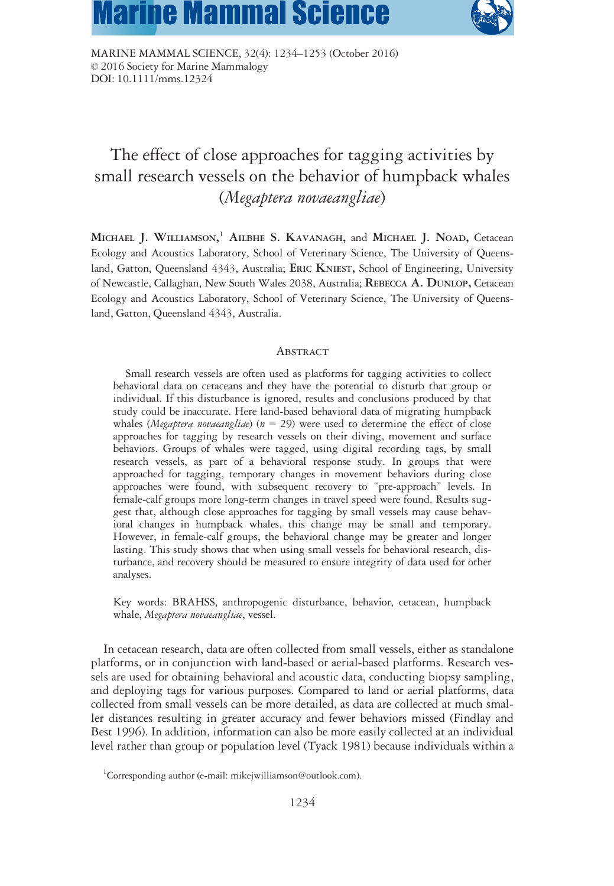# **Marine Mammal Science**



MARINE MAMMAL SCIENCE, 32(4): 1234–1253 (October 2016) © 2016 Society for Marine Mammalogy DOI: 10.1111/mms.12324

# The effect of close approaches for tagging activities by small research vessels on the behavior of humpback whales (Megaptera novaeangliae)

MICHAEL J. WILLIAMSON,<sup>1</sup> AILBHE S. KAVANAGH, and MICHAEL J. NOAD, Cetacean Ecology and Acoustics Laboratory, School of Veterinary Science, The University of Queensland, Gatton, Queensland 4343, Australia; ERIC KNIEST, School of Engineering, University of Newcastle, Callaghan, New South Wales 2038, Australia; REBECCA A. DUNLOP, Cetacean Ecology and Acoustics Laboratory, School of Veterinary Science, The University of Queensland, Gatton, Queensland 4343, Australia.

# **ABSTRACT**

Small research vessels are often used as platforms for tagging activities to collect behavioral data on cetaceans and they have the potential to disturb that group or individual. If this disturbance is ignored, results and conclusions produced by that study could be inaccurate. Here land-based behavioral data of migrating humpback whales (Megaptera novaeangliae) ( $n = 29$ ) were used to determine the effect of close approaches for tagging by research vessels on their diving, movement and surface behaviors. Groups of whales were tagged, using digital recording tags, by small research vessels, as part of a behavioral response study. In groups that were approached for tagging, temporary changes in movement behaviors during close approaches were found, with subsequent recovery to "pre-approach" levels. In female-calf groups more long-term changes in travel speed were found. Results suggest that, although close approaches for tagging by small vessels may cause behavioral changes in humpback whales, this change may be small and temporary. However, in female-calf groups, the behavioral change may be greater and longer lasting. This study shows that when using small vessels for behavioral research, disturbance, and recovery should be measured to ensure integrity of data used for other analyses.

Key words: BRAHSS, anthropogenic disturbance, behavior, cetacean, humpback whale, Megaptera novaeangliae, vessel.

In cetacean research, data are often collected from small vessels, either as standalone platforms, or in conjunction with land-based or aerial-based platforms. Research vessels are used for obtaining behavioral and acoustic data, conducting biopsy sampling, and deploying tags for various purposes. Compared to land or aerial platforms, data collected from small vessels can be more detailed, as data are collected at much smaller distances resulting in greater accuracy and fewer behaviors missed (Findlay and Best 1996). In addition, information can also be more easily collected at an individual level rather than group or population level (Tyack 1981) because individuals within a

<sup>&</sup>lt;sup>1</sup>Corresponding author (e-mail: [mikejwilliamson@outlook.com](mailto:mikejwilliamson@outlook.com)).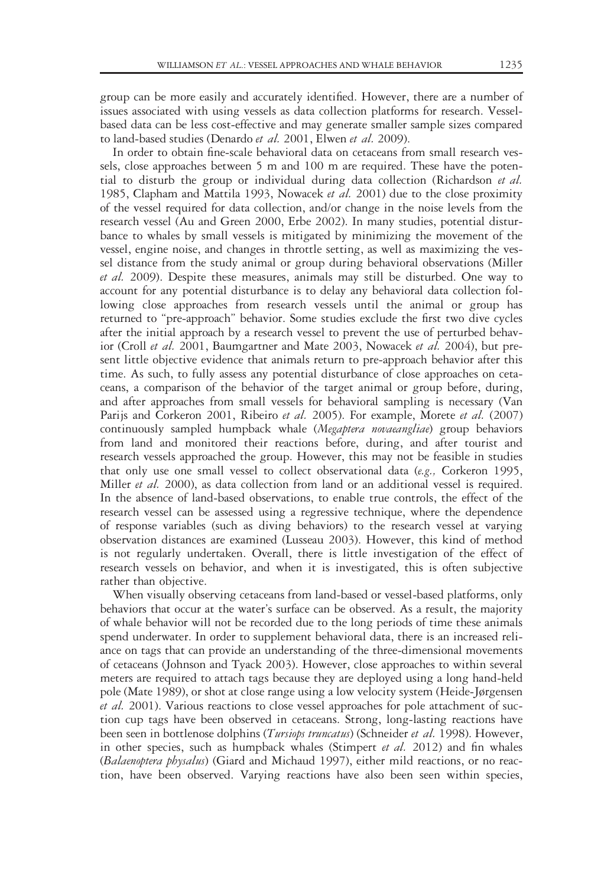group can be more easily and accurately identified. However, there are a number of issues associated with using vessels as data collection platforms for research. Vesselbased data can be less cost-effective and may generate smaller sample sizes compared to land-based studies (Denardo et al. 2001, Elwen et al. 2009).

In order to obtain fine-scale behavioral data on cetaceans from small research vessels, close approaches between 5 m and 100 m are required. These have the potential to disturb the group or individual during data collection (Richardson et al. 1985, Clapham and Mattila 1993, Nowacek et al. 2001) due to the close proximity of the vessel required for data collection, and/or change in the noise levels from the research vessel (Au and Green 2000, Erbe 2002). In many studies, potential disturbance to whales by small vessels is mitigated by minimizing the movement of the vessel, engine noise, and changes in throttle setting, as well as maximizing the vessel distance from the study animal or group during behavioral observations (Miller et al. 2009). Despite these measures, animals may still be disturbed. One way to account for any potential disturbance is to delay any behavioral data collection following close approaches from research vessels until the animal or group has returned to "pre-approach" behavior. Some studies exclude the first two dive cycles after the initial approach by a research vessel to prevent the use of perturbed behavior (Croll et al. 2001, Baumgartner and Mate 2003, Nowacek et al. 2004), but present little objective evidence that animals return to pre-approach behavior after this time. As such, to fully assess any potential disturbance of close approaches on cetaceans, a comparison of the behavior of the target animal or group before, during, and after approaches from small vessels for behavioral sampling is necessary (Van Parijs and Corkeron 2001, Ribeiro et al. 2005). For example, Morete et al. (2007) continuously sampled humpback whale (Megaptera novaeangliae) group behaviors from land and monitored their reactions before, during, and after tourist and research vessels approached the group. However, this may not be feasible in studies that only use one small vessel to collect observational data (e.g., Corkeron 1995, Miller *et al.* 2000), as data collection from land or an additional vessel is required. In the absence of land-based observations, to enable true controls, the effect of the research vessel can be assessed using a regressive technique, where the dependence of response variables (such as diving behaviors) to the research vessel at varying observation distances are examined (Lusseau 2003). However, this kind of method is not regularly undertaken. Overall, there is little investigation of the effect of research vessels on behavior, and when it is investigated, this is often subjective rather than objective.

When visually observing cetaceans from land-based or vessel-based platforms, only behaviors that occur at the water's surface can be observed. As a result, the majority of whale behavior will not be recorded due to the long periods of time these animals spend underwater. In order to supplement behavioral data, there is an increased reliance on tags that can provide an understanding of the three-dimensional movements of cetaceans (Johnson and Tyack 2003). However, close approaches to within several meters are required to attach tags because they are deployed using a long hand-held pole (Mate 1989), or shot at close range using a low velocity system (Heide-Jørgensen et al. 2001). Various reactions to close vessel approaches for pole attachment of suction cup tags have been observed in cetaceans. Strong, long-lasting reactions have been seen in bottlenose dolphins (Tursiops truncatus) (Schneider et al. 1998). However, in other species, such as humpback whales (Stimpert et al. 2012) and fin whales (Balaenoptera physalus) (Giard and Michaud 1997), either mild reactions, or no reaction, have been observed. Varying reactions have also been seen within species,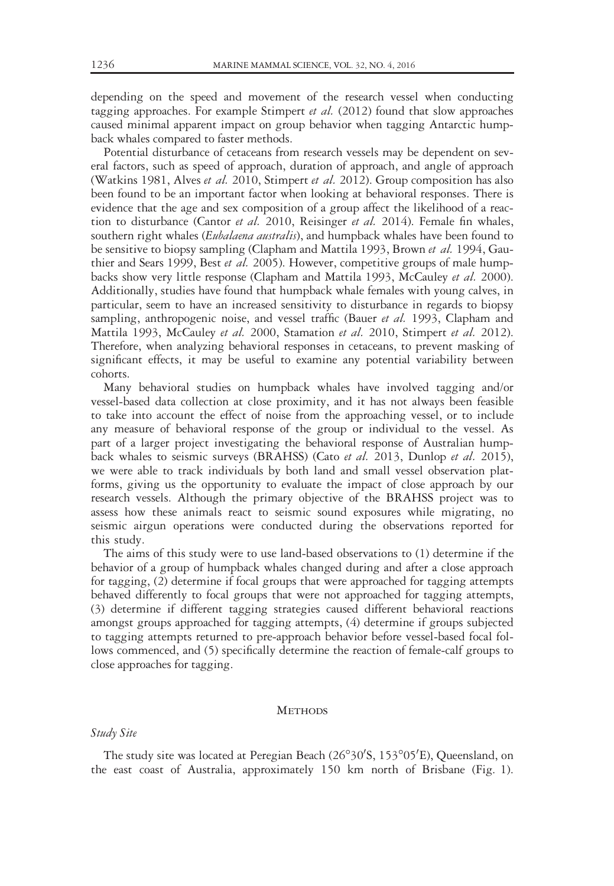depending on the speed and movement of the research vessel when conducting tagging approaches. For example Stimpert et al.  $(2012)$  found that slow approaches caused minimal apparent impact on group behavior when tagging Antarctic humpback whales compared to faster methods.

Potential disturbance of cetaceans from research vessels may be dependent on several factors, such as speed of approach, duration of approach, and angle of approach (Watkins 1981, Alves et al. 2010, Stimpert et al. 2012). Group composition has also been found to be an important factor when looking at behavioral responses. There is evidence that the age and sex composition of a group affect the likelihood of a reaction to disturbance (Cantor et al. 2010, Reisinger et al. 2014). Female fin whales, southern right whales (Eubalaena australis), and humpback whales have been found to be sensitive to biopsy sampling (Clapham and Mattila 1993, Brown et al. 1994, Gauthier and Sears 1999, Best *et al.* 2005). However, competitive groups of male humpbacks show very little response (Clapham and Mattila 1993, McCauley et al. 2000). Additionally, studies have found that humpback whale females with young calves, in particular, seem to have an increased sensitivity to disturbance in regards to biopsy sampling, anthropogenic noise, and vessel traffic (Bauer et al. 1993, Clapham and Mattila 1993, McCauley et al. 2000, Stamation et al. 2010, Stimpert et al. 2012). Therefore, when analyzing behavioral responses in cetaceans, to prevent masking of significant effects, it may be useful to examine any potential variability between cohorts.

Many behavioral studies on humpback whales have involved tagging and/or vessel-based data collection at close proximity, and it has not always been feasible to take into account the effect of noise from the approaching vessel, or to include any measure of behavioral response of the group or individual to the vessel. As part of a larger project investigating the behavioral response of Australian humpback whales to seismic surveys (BRAHSS) (Cato et al. 2013, Dunlop et al. 2015), we were able to track individuals by both land and small vessel observation platforms, giving us the opportunity to evaluate the impact of close approach by our research vessels. Although the primary objective of the BRAHSS project was to assess how these animals react to seismic sound exposures while migrating, no seismic airgun operations were conducted during the observations reported for this study.

The aims of this study were to use land-based observations to (1) determine if the behavior of a group of humpback whales changed during and after a close approach for tagging, (2) determine if focal groups that were approached for tagging attempts behaved differently to focal groups that were not approached for tagging attempts, (3) determine if different tagging strategies caused different behavioral reactions amongst groups approached for tagging attempts, (4) determine if groups subjected to tagging attempts returned to pre-approach behavior before vessel-based focal follows commenced, and (5) specifically determine the reaction of female-calf groups to close approaches for tagging.

### **METHODS**

# Study Site

The study site was located at Peregian Beach (26°30'S, 153°05'E), Queensland, on the east coast of Australia, approximately 150 km north of Brisbane (Fig. 1).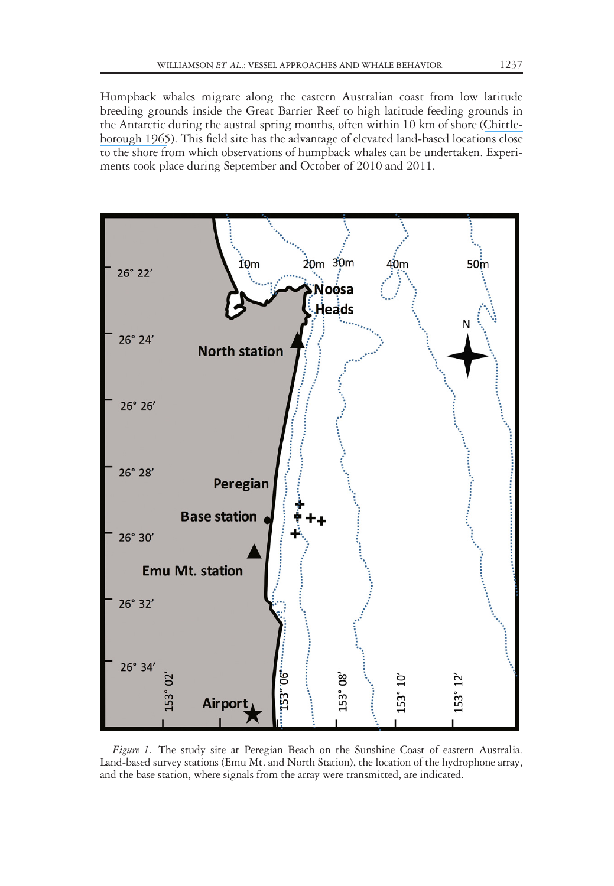Humpback whales migrate along the eastern Australian coast from low latitude breeding grounds inside the Great Barrier Reef to high latitude feeding grounds in the Antarctic during the austral spring months, often within 10 km of shore ([Chittle](https://www.researchgate.net/publication/248885749_Dynamics_of_two_populations_of_the_humpback_whale_Megaptera_novaeangliae_Borowski?el=1_x_8&enrichId=rgreq-fd721b0735a7ab74e3b155e2d94872d5-XXX&enrichSource=Y292ZXJQYWdlOzMwMTY2ODI5MztBUzo0MTk2NDEwODA5OTE3NDVAMTQ3NzA2MTYzODcyMQ==)[borough 1965](https://www.researchgate.net/publication/248885749_Dynamics_of_two_populations_of_the_humpback_whale_Megaptera_novaeangliae_Borowski?el=1_x_8&enrichId=rgreq-fd721b0735a7ab74e3b155e2d94872d5-XXX&enrichSource=Y292ZXJQYWdlOzMwMTY2ODI5MztBUzo0MTk2NDEwODA5OTE3NDVAMTQ3NzA2MTYzODcyMQ==)). This field site has the advantage of elevated land-based locations close to the shore from which observations of humpback whales can be undertaken. Experiments took place during September and October of 2010 and 2011.



Figure 1. The study site at Peregian Beach on the Sunshine Coast of eastern Australia. Land-based survey stations (Emu Mt. and North Station), the location of the hydrophone array, and the base station, where signals from the array were transmitted, are indicated.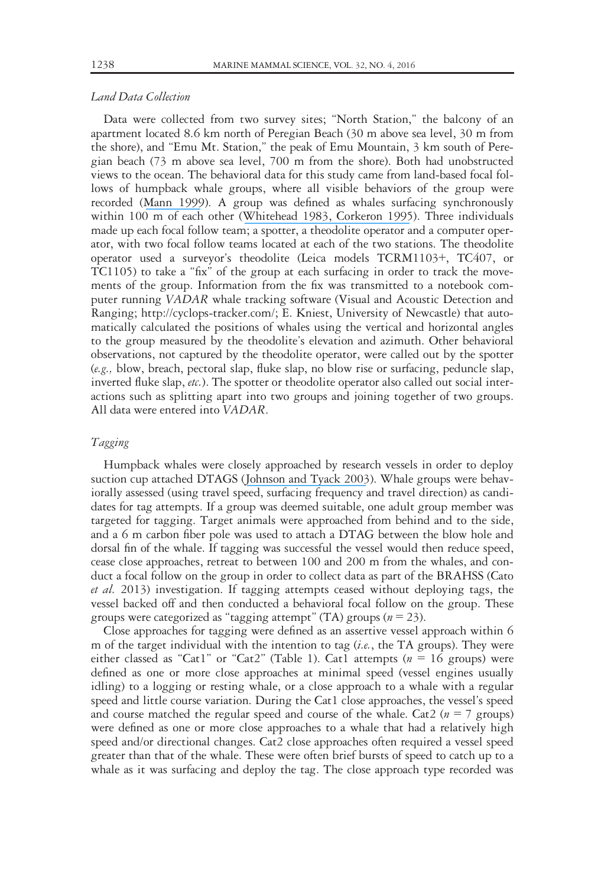## Land Data Collection

Data were collected from two survey sites; "North Station," the balcony of an apartment located 8.6 km north of Peregian Beach (30 m above sea level, 30 m from the shore), and "Emu Mt. Station," the peak of Emu Mountain, 3 km south of Peregian beach (73 m above sea level, 700 m from the shore). Both had unobstructed views to the ocean. The behavioral data for this study came from land-based focal follows of humpback whale groups, where all visible behaviors of the group were recorded ([Mann 1999](https://www.researchgate.net/publication/227646426_Behavioral_sampling_methods_for_cetaceans_A_review_and_critique?el=1_x_8&enrichId=rgreq-fd721b0735a7ab74e3b155e2d94872d5-XXX&enrichSource=Y292ZXJQYWdlOzMwMTY2ODI5MztBUzo0MTk2NDEwODA5OTE3NDVAMTQ3NzA2MTYzODcyMQ==)). A group was defined as whales surfacing synchronously within 100 m of each other ([Whitehead 1983](https://www.researchgate.net/publication/237995588_Structure_and_stability_of_humpback_whale_groups_off_Newfoundland_Megaptera_novaeangliae?el=1_x_8&enrichId=rgreq-fd721b0735a7ab74e3b155e2d94872d5-XXX&enrichSource=Y292ZXJQYWdlOzMwMTY2ODI5MztBUzo0MTk2NDEwODA5OTE3NDVAMTQ3NzA2MTYzODcyMQ==)[, Corkeron 1995](https://www.researchgate.net/publication/236246728_Humpback_whales_Megaptera_novaeangliae_in_Hervey_Bay_Queensland_behaviour_and_responses_to_whale-watching_vessels?el=1_x_8&enrichId=rgreq-fd721b0735a7ab74e3b155e2d94872d5-XXX&enrichSource=Y292ZXJQYWdlOzMwMTY2ODI5MztBUzo0MTk2NDEwODA5OTE3NDVAMTQ3NzA2MTYzODcyMQ==)). Three individuals made up each focal follow team; a spotter, a theodolite operator and a computer operator, with two focal follow teams located at each of the two stations. The theodolite operator used a surveyor's theodolite (Leica models TCRM1103+, TC407, or TC1105) to take a "fix" of the group at each surfacing in order to track the movements of the group. Information from the fix was transmitted to a notebook computer running VADAR whale tracking software (Visual and Acoustic Detection and Ranging; [http://cyclops-tracker.com/;](http://cyclops-tracker.com/) E. Kniest, University of Newcastle) that automatically calculated the positions of whales using the vertical and horizontal angles to the group measured by the theodolite's elevation and azimuth. Other behavioral observations, not captured by the theodolite operator, were called out by the spotter (e.g., blow, breach, pectoral slap, fluke slap, no blow rise or surfacing, peduncle slap, inverted fluke slap, etc.). The spotter or theodolite operator also called out social interactions such as splitting apart into two groups and joining together of two groups. All data were entered into VADAR.

# Tagging

Humpback whales were closely approached by research vessels in order to deploy suction cup attached DTAGS ([Johnson and Tyack 2003](https://www.researchgate.net/publication/3231925_A_digital_acoutic_recording_tag_for_measuring_the_response_of_wild_marine_mammals_to_sound?el=1_x_8&enrichId=rgreq-fd721b0735a7ab74e3b155e2d94872d5-XXX&enrichSource=Y292ZXJQYWdlOzMwMTY2ODI5MztBUzo0MTk2NDEwODA5OTE3NDVAMTQ3NzA2MTYzODcyMQ==)). Whale groups were behaviorally assessed (using travel speed, surfacing frequency and travel direction) as candidates for tag attempts. If a group was deemed suitable, one adult group member was targeted for tagging. Target animals were approached from behind and to the side, and a 6 m carbon fiber pole was used to attach a DTAG between the blow hole and dorsal fin of the whale. If tagging was successful the vessel would then reduce speed, cease close approaches, retreat to between 100 and 200 m from the whales, and conduct a focal follow on the group in order to collect data as part of the BRAHSS (Cato et al. 2013) investigation. If tagging attempts ceased without deploying tags, the vessel backed off and then conducted a behavioral focal follow on the group. These groups were categorized as "tagging attempt" (TA) groups ( $n = 23$ ).

Close approaches for tagging were defined as an assertive vessel approach within 6 m of the target individual with the intention to tag  $(i.e.,$  the TA groups). They were either classed as "Cat1" or "Cat2" (Table 1). Cat1 attempts ( $n = 16$  groups) were defined as one or more close approaches at minimal speed (vessel engines usually idling) to a logging or resting whale, or a close approach to a whale with a regular speed and little course variation. During the Cat1 close approaches, the vessel's speed and course matched the regular speed and course of the whale. Cat2 ( $n = 7$  groups) were defined as one or more close approaches to a whale that had a relatively high speed and/or directional changes. Cat2 close approaches often required a vessel speed greater than that of the whale. These were often brief bursts of speed to catch up to a whale as it was surfacing and deploy the tag. The close approach type recorded was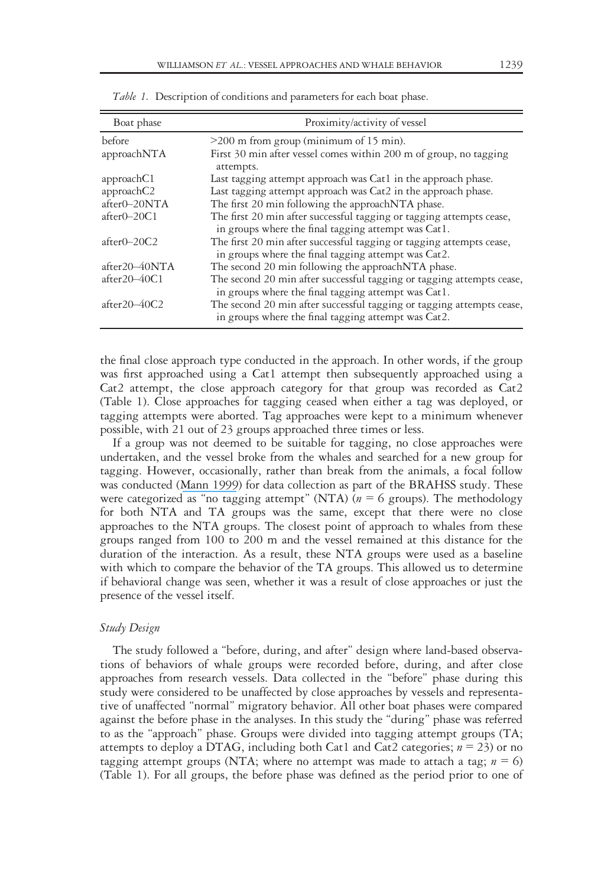| Boat phase     | Proximity/activity of vessel                                                                                                 |
|----------------|------------------------------------------------------------------------------------------------------------------------------|
| before         | $>200$ m from group (minimum of 15 min).                                                                                     |
| approachNTA    | First 30 min after vessel comes within 200 m of group, no tagging<br>attempts.                                               |
| approachC1     | Last tagging attempt approach was Cat1 in the approach phase.                                                                |
| approachC2     | Last tagging attempt approach was Cat2 in the approach phase.                                                                |
| after0-20NTA   | The first 20 min following the approachNTA phase.                                                                            |
| $after0-20C1$  | The first 20 min after successful tagging or tagging attempts cease,<br>in groups where the final tagging attempt was Cat1.  |
| $after0-20C2$  | The first 20 min after successful tagging or tagging attempts cease,<br>in groups where the final tagging attempt was Cat2.  |
| after20-40NTA  | The second 20 min following the approachNTA phase.                                                                           |
| $after20-40C1$ | The second 20 min after successful tagging or tagging attempts cease,<br>in groups where the final tagging attempt was Cat1. |
| $after20-40C2$ | The second 20 min after successful tagging or tagging attempts cease,<br>in groups where the final tagging attempt was Cat2. |

Table 1. Description of conditions and parameters for each boat phase.

the final close approach type conducted in the approach. In other words, if the group was first approached using a Cat1 attempt then subsequently approached using a Cat2 attempt, the close approach category for that group was recorded as Cat2 (Table 1). Close approaches for tagging ceased when either a tag was deployed, or tagging attempts were aborted. Tag approaches were kept to a minimum whenever possible, with 21 out of 23 groups approached three times or less.

If a group was not deemed to be suitable for tagging, no close approaches were undertaken, and the vessel broke from the whales and searched for a new group for tagging. However, occasionally, rather than break from the animals, a focal follow was conducted ([Mann 1999](https://www.researchgate.net/publication/227646426_Behavioral_sampling_methods_for_cetaceans_A_review_and_critique?el=1_x_8&enrichId=rgreq-fd721b0735a7ab74e3b155e2d94872d5-XXX&enrichSource=Y292ZXJQYWdlOzMwMTY2ODI5MztBUzo0MTk2NDEwODA5OTE3NDVAMTQ3NzA2MTYzODcyMQ==)) for data collection as part of the BRAHSS study. These were categorized as "no tagging attempt" (NTA) ( $n = 6$  groups). The methodology for both NTA and TA groups was the same, except that there were no close approaches to the NTA groups. The closest point of approach to whales from these groups ranged from 100 to 200 m and the vessel remained at this distance for the duration of the interaction. As a result, these NTA groups were used as a baseline with which to compare the behavior of the TA groups. This allowed us to determine if behavioral change was seen, whether it was a result of close approaches or just the presence of the vessel itself.

# Study Design

The study followed a "before, during, and after" design where land-based observations of behaviors of whale groups were recorded before, during, and after close approaches from research vessels. Data collected in the "before" phase during this study were considered to be unaffected by close approaches by vessels and representative of unaffected "normal" migratory behavior. All other boat phases were compared against the before phase in the analyses. In this study the "during" phase was referred to as the "approach" phase. Groups were divided into tagging attempt groups (TA; attempts to deploy a DTAG, including both Cat1 and Cat2 categories;  $n = 23$ ) or no tagging attempt groups (NTA; where no attempt was made to attach a tag;  $n = 6$ ) (Table 1). For all groups, the before phase was defined as the period prior to one of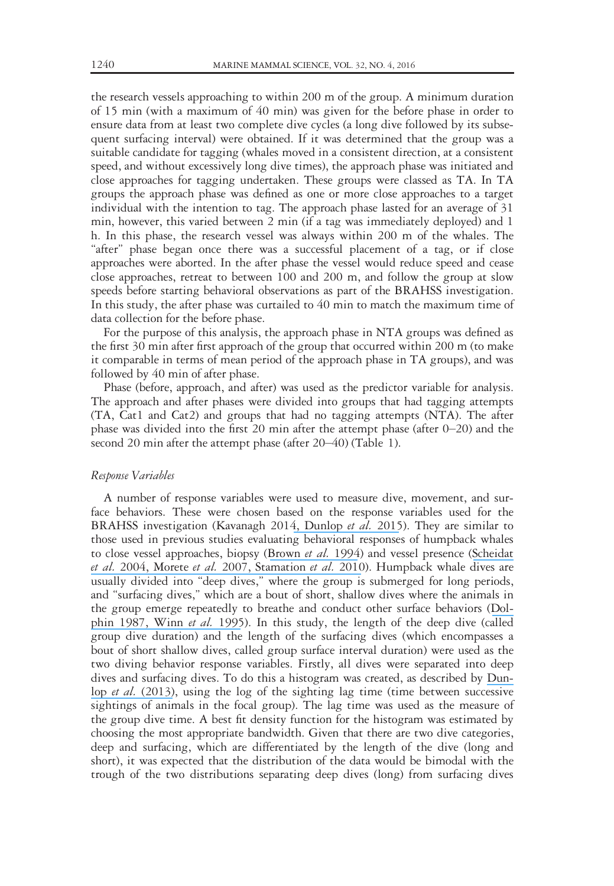the research vessels approaching to within 200 m of the group. A minimum duration of 15 min (with a maximum of 40 min) was given for the before phase in order to ensure data from at least two complete dive cycles (a long dive followed by its subsequent surfacing interval) were obtained. If it was determined that the group was a suitable candidate for tagging (whales moved in a consistent direction, at a consistent speed, and without excessively long dive times), the approach phase was initiated and close approaches for tagging undertaken. These groups were classed as TA. In TA groups the approach phase was defined as one or more close approaches to a target individual with the intention to tag. The approach phase lasted for an average of 31 min, however, this varied between 2 min (if a tag was immediately deployed) and 1 h. In this phase, the research vessel was always within 200 m of the whales. The "after" phase began once there was a successful placement of a tag, or if close approaches were aborted. In the after phase the vessel would reduce speed and cease close approaches, retreat to between 100 and 200 m, and follow the group at slow speeds before starting behavioral observations as part of the BRAHSS investigation. In this study, the after phase was curtailed to 40 min to match the maximum time of data collection for the before phase.

For the purpose of this analysis, the approach phase in NTA groups was defined as the first 30 min after first approach of the group that occurred within 200 m (to make it comparable in terms of mean period of the approach phase in TA groups), and was followed by 40 min of after phase.

Phase (before, approach, and after) was used as the predictor variable for analysis. The approach and after phases were divided into groups that had tagging attempts (TA, Cat1 and Cat2) and groups that had no tagging attempts (NTA). The after phase was divided into the first 20 min after the attempt phase (after 0–20) and the second 20 min after the attempt phase (after 20–40) (Table 1).

#### Response Variables

A number of response variables were used to measure dive, movement, and surface behaviors. These were chosen based on the response variables used for the BRAHSS investigation (Kavanagh 201[4, Dunlop](https://www.researchgate.net/publication/284216876_The_Behavioural_Response_of_Humpback_Whales_Megaptera_novaeangliae_to_a_20_Cubic_Inch_Air_Gun?el=1_x_8&enrichId=rgreq-fd721b0735a7ab74e3b155e2d94872d5-XXX&enrichSource=Y292ZXJQYWdlOzMwMTY2ODI5MztBUzo0MTk2NDEwODA5OTE3NDVAMTQ3NzA2MTYzODcyMQ==) et al. 2015). They are similar to those used in previous studies evaluating behavioral responses of humpback whales to close vessel approaches, biopsy ([Brown](https://www.researchgate.net/publication/229776378_Behavioral_responses_of_East_Australian_humpback_whales_Megaptera_novaeangliae_to_biopsy_sampling?el=1_x_8&enrichId=rgreq-fd721b0735a7ab74e3b155e2d94872d5-XXX&enrichSource=Y292ZXJQYWdlOzMwMTY2ODI5MztBUzo0MTk2NDEwODA5OTE3NDVAMTQ3NzA2MTYzODcyMQ==) et al. 1994) and vessel presence ([Scheidat](https://www.researchgate.net/publication/228406892_Behavioural_responses_of_humpback_whales_Megaptera_novaeangliae_to_whalewatching_boats_near_Isla_de_la_Plata_Machalilla_National_Park_Ecuador?el=1_x_8&enrichId=rgreq-fd721b0735a7ab74e3b155e2d94872d5-XXX&enrichSource=Y292ZXJQYWdlOzMwMTY2ODI5MztBUzo0MTk2NDEwODA5OTE3NDVAMTQ3NzA2MTYzODcyMQ==) [et al.](https://www.researchgate.net/publication/228406892_Behavioural_responses_of_humpback_whales_Megaptera_novaeangliae_to_whalewatching_boats_near_Isla_de_la_Plata_Machalilla_National_Park_Ecuador?el=1_x_8&enrichId=rgreq-fd721b0735a7ab74e3b155e2d94872d5-XXX&enrichSource=Y292ZXJQYWdlOzMwMTY2ODI5MztBUzo0MTk2NDEwODA5OTE3NDVAMTQ3NzA2MTYzODcyMQ==) 200[4, Morete](https://www.researchgate.net/publication/292364194_Mother_and_calf_humpback_whale_responses_to_vessels_around_the_Abrolhos_Archipelago_Bahia_Brazil?el=1_x_8&enrichId=rgreq-fd721b0735a7ab74e3b155e2d94872d5-XXX&enrichSource=Y292ZXJQYWdlOzMwMTY2ODI5MztBUzo0MTk2NDEwODA5OTE3NDVAMTQ3NzA2MTYzODcyMQ==) et al. 200[7, Stamation](https://www.researchgate.net/publication/230130414_Behavioral_responses_of_humpback_whales_Megaptera_novaeangliae_to_whale-watching_vessels_on_the_southeastern_coast_of_Australia?el=1_x_8&enrichId=rgreq-fd721b0735a7ab74e3b155e2d94872d5-XXX&enrichSource=Y292ZXJQYWdlOzMwMTY2ODI5MztBUzo0MTk2NDEwODA5OTE3NDVAMTQ3NzA2MTYzODcyMQ==) et al. 2010). Humpback whale dives are usually divided into "deep dives," where the group is submerged for long periods, and "surfacing dives," which are a bout of short, shallow dives where the animals in the group emerge repeatedly to breathe and conduct other surface behaviors ([Dol](https://www.researchgate.net/publication/238007932_Dive_behavior_and_estimated_energy_expenditure_of_foraging_humpback_whales_in_Southeast_Alaska?el=1_x_8&enrichId=rgreq-fd721b0735a7ab74e3b155e2d94872d5-XXX&enrichSource=Y292ZXJQYWdlOzMwMTY2ODI5MztBUzo0MTk2NDEwODA5OTE3NDVAMTQ3NzA2MTYzODcyMQ==)[phin 1987](https://www.researchgate.net/publication/238007932_Dive_behavior_and_estimated_energy_expenditure_of_foraging_humpback_whales_in_Southeast_Alaska?el=1_x_8&enrichId=rgreq-fd721b0735a7ab74e3b155e2d94872d5-XXX&enrichSource=Y292ZXJQYWdlOzMwMTY2ODI5MztBUzo0MTk2NDEwODA5OTE3NDVAMTQ3NzA2MTYzODcyMQ==)[, Winn](https://www.researchgate.net/publication/222164005_Dive_patterns_of_right_whales_in_the_Great_South_Channel?el=1_x_8&enrichId=rgreq-fd721b0735a7ab74e3b155e2d94872d5-XXX&enrichSource=Y292ZXJQYWdlOzMwMTY2ODI5MztBUzo0MTk2NDEwODA5OTE3NDVAMTQ3NzA2MTYzODcyMQ==) *et al.* 1995). In this study, the length of the deep dive (called group dive duration) and the length of the surfacing dives (which encompasses a bout of short shallow dives, called group surface interval duration) were used as the two diving behavior response variables. Firstly, all dives were separated into deep dives and surfacing dives. To do this a histogram was created, as described by [Dun-](https://www.researchgate.net/publication/233424146_Multivariate_analysis_of_behavioural_response_experiments_in_humpback_whales_Megaptera_novaeangliae?el=1_x_8&enrichId=rgreq-fd721b0735a7ab74e3b155e2d94872d5-XXX&enrichSource=Y292ZXJQYWdlOzMwMTY2ODI5MztBUzo0MTk2NDEwODA5OTE3NDVAMTQ3NzA2MTYzODcyMQ==)lop et al. [\(2013\)](https://www.researchgate.net/publication/233424146_Multivariate_analysis_of_behavioural_response_experiments_in_humpback_whales_Megaptera_novaeangliae?el=1_x_8&enrichId=rgreq-fd721b0735a7ab74e3b155e2d94872d5-XXX&enrichSource=Y292ZXJQYWdlOzMwMTY2ODI5MztBUzo0MTk2NDEwODA5OTE3NDVAMTQ3NzA2MTYzODcyMQ==), using the log of the sighting lag time (time between successive sightings of animals in the focal group). The lag time was used as the measure of the group dive time. A best fit density function for the histogram was estimated by choosing the most appropriate bandwidth. Given that there are two dive categories, deep and surfacing, which are differentiated by the length of the dive (long and short), it was expected that the distribution of the data would be bimodal with the trough of the two distributions separating deep dives (long) from surfacing dives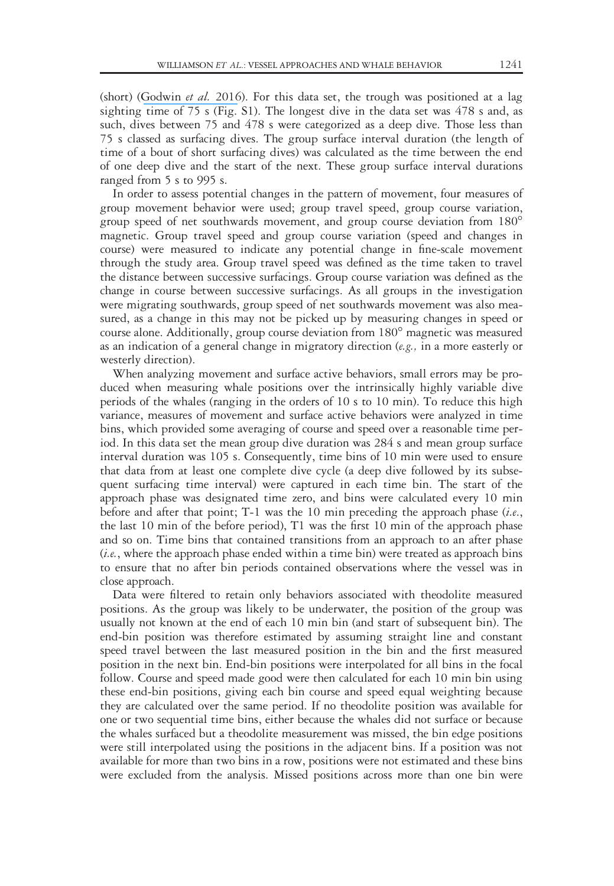(short) ([Godwin](https://www.researchgate.net/publication/281769290_Comparing_multiple_sampling_platforms_for_measuring_the_behavior_of_humpback_whales_Megaptera_novaeangliae?el=1_x_8&enrichId=rgreq-fd721b0735a7ab74e3b155e2d94872d5-XXX&enrichSource=Y292ZXJQYWdlOzMwMTY2ODI5MztBUzo0MTk2NDEwODA5OTE3NDVAMTQ3NzA2MTYzODcyMQ==) *et al.* 2016). For this data set, the trough was positioned at a lag sighting time of  $75$  s (Fig. S1). The longest dive in the data set was  $478$  s and, as such, dives between 75 and 478 s were categorized as a deep dive. Those less than 75 s classed as surfacing dives. The group surface interval duration (the length of time of a bout of short surfacing dives) was calculated as the time between the end of one deep dive and the start of the next. These group surface interval durations ranged from 5 s to 995 s.

In order to assess potential changes in the pattern of movement, four measures of group movement behavior were used; group travel speed, group course variation, group speed of net southwards movement, and group course deviation from 180 magnetic. Group travel speed and group course variation (speed and changes in course) were measured to indicate any potential change in fine-scale movement through the study area. Group travel speed was defined as the time taken to travel the distance between successive surfacings. Group course variation was defined as the change in course between successive surfacings. As all groups in the investigation were migrating southwards, group speed of net southwards movement was also measured, as a change in this may not be picked up by measuring changes in speed or course alone. Additionally, group course deviation from 180° magnetic was measured as an indication of a general change in migratory direction  $(e.g.,)$  in a more easterly or westerly direction).

When analyzing movement and surface active behaviors, small errors may be produced when measuring whale positions over the intrinsically highly variable dive periods of the whales (ranging in the orders of 10 s to 10 min). To reduce this high variance, measures of movement and surface active behaviors were analyzed in time bins, which provided some averaging of course and speed over a reasonable time period. In this data set the mean group dive duration was 284 s and mean group surface interval duration was 105 s. Consequently, time bins of 10 min were used to ensure that data from at least one complete dive cycle (a deep dive followed by its subsequent surfacing time interval) were captured in each time bin. The start of the approach phase was designated time zero, and bins were calculated every 10 min before and after that point; T-1 was the 10 min preceding the approach phase  $(i.e.,$ the last 10 min of the before period), T1 was the first 10 min of the approach phase and so on. Time bins that contained transitions from an approach to an after phase (i.e., where the approach phase ended within a time bin) were treated as approach bins to ensure that no after bin periods contained observations where the vessel was in close approach.

Data were filtered to retain only behaviors associated with theodolite measured positions. As the group was likely to be underwater, the position of the group was usually not known at the end of each 10 min bin (and start of subsequent bin). The end-bin position was therefore estimated by assuming straight line and constant speed travel between the last measured position in the bin and the first measured position in the next bin. End-bin positions were interpolated for all bins in the focal follow. Course and speed made good were then calculated for each 10 min bin using these end-bin positions, giving each bin course and speed equal weighting because they are calculated over the same period. If no theodolite position was available for one or two sequential time bins, either because the whales did not surface or because the whales surfaced but a theodolite measurement was missed, the bin edge positions were still interpolated using the positions in the adjacent bins. If a position was not available for more than two bins in a row, positions were not estimated and these bins were excluded from the analysis. Missed positions across more than one bin were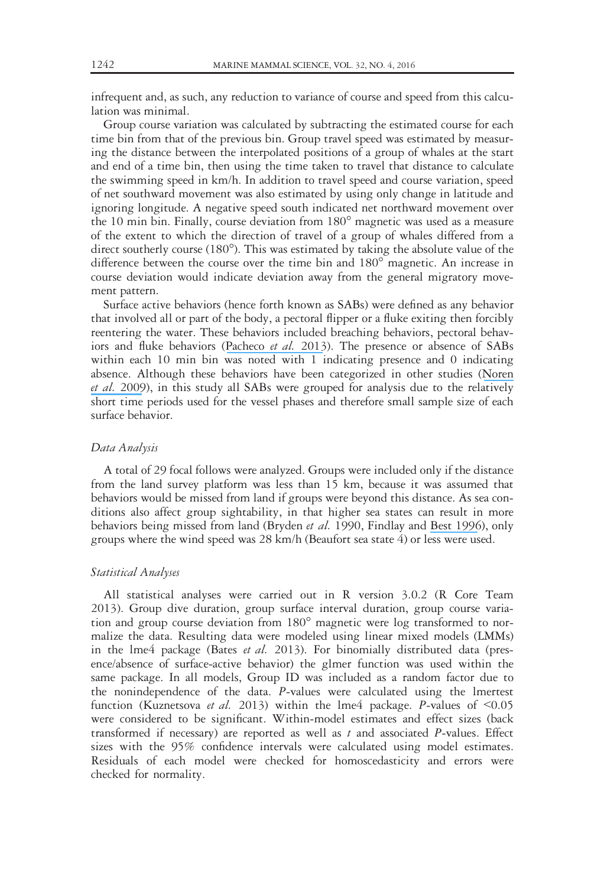infrequent and, as such, any reduction to variance of course and speed from this calculation was minimal.

Group course variation was calculated by subtracting the estimated course for each time bin from that of the previous bin. Group travel speed was estimated by measuring the distance between the interpolated positions of a group of whales at the start and end of a time bin, then using the time taken to travel that distance to calculate the swimming speed in km/h. In addition to travel speed and course variation, speed of net southward movement was also estimated by using only change in latitude and ignoring longitude. A negative speed south indicated net northward movement over the 10 min bin. Finally, course deviation from  $180^\circ$  magnetic was used as a measure of the extent to which the direction of travel of a group of whales differed from a direct southerly course  $(180^{\circ})$ . This was estimated by taking the absolute value of the difference between the course over the time bin and 180<sup>°</sup> magnetic. An increase in course deviation would indicate deviation away from the general migratory movement pattern.

Surface active behaviors (hence forth known as SABs) were defined as any behavior that involved all or part of the body, a pectoral flipper or a fluke exiting then forcibly reentering the water. These behaviors included breaching behaviors, pectoral behav-iors and fluke behaviors ([Pacheco](https://www.researchgate.net/publication/245009366_Aerial_behavior_of_humpback_whales_Megaptera_novaeangliae_at_the_southern_limit_of_the_southeast_Pacific_breeding_area?el=1_x_8&enrichId=rgreq-fd721b0735a7ab74e3b155e2d94872d5-XXX&enrichSource=Y292ZXJQYWdlOzMwMTY2ODI5MztBUzo0MTk2NDEwODA5OTE3NDVAMTQ3NzA2MTYzODcyMQ==) et al. 2013). The presence or absence of SABs within each 10 min bin was noted with 1 indicating presence and 0 indicating absence. Although these behaviors have been categorized in other studies ([Noren](https://www.researchgate.net/publication/250221991_Close_approaches_by_vessels_elicit_surface_active_behaviors_by_Southern_Resident_killer_whales?el=1_x_8&enrichId=rgreq-fd721b0735a7ab74e3b155e2d94872d5-XXX&enrichSource=Y292ZXJQYWdlOzMwMTY2ODI5MztBUzo0MTk2NDEwODA5OTE3NDVAMTQ3NzA2MTYzODcyMQ==) [et al.](https://www.researchgate.net/publication/250221991_Close_approaches_by_vessels_elicit_surface_active_behaviors_by_Southern_Resident_killer_whales?el=1_x_8&enrichId=rgreq-fd721b0735a7ab74e3b155e2d94872d5-XXX&enrichSource=Y292ZXJQYWdlOzMwMTY2ODI5MztBUzo0MTk2NDEwODA5OTE3NDVAMTQ3NzA2MTYzODcyMQ==) 2009), in this study all SABs were grouped for analysis due to the relatively short time periods used for the vessel phases and therefore small sample size of each surface behavior.

#### Data Analysis

A total of 29 focal follows were analyzed. Groups were included only if the distance from the land survey platform was less than 15 km, because it was assumed that behaviors would be missed from land if groups were beyond this distance. As sea conditions also affect group sightability, in that higher sea states can result in more behaviors being missed from land (Bryden et al. 1990, Findlay and [Best 1996](https://www.researchgate.net/publication/229703304_Assessment_of_heterogeneity_in_sighting_probabilities_of_humpback_whales_within_viewing_range_of_Cape_Vidal_South_Africa?el=1_x_8&enrichId=rgreq-fd721b0735a7ab74e3b155e2d94872d5-XXX&enrichSource=Y292ZXJQYWdlOzMwMTY2ODI5MztBUzo0MTk2NDEwODA5OTE3NDVAMTQ3NzA2MTYzODcyMQ==)), only groups where the wind speed was 28 km/h (Beaufort sea state 4) or less were used.

#### Statistical Analyses

All statistical analyses were carried out in R version 3.0.2 (R Core Team 2013). Group dive duration, group surface interval duration, group course variation and group course deviation from 180° magnetic were log transformed to normalize the data. Resulting data were modeled using linear mixed models (LMMs) in the lme4 package (Bates et al. 2013). For binomially distributed data (presence/absence of surface-active behavior) the glmer function was used within the same package. In all models, Group ID was included as a random factor due to the nonindependence of the data. P-values were calculated using the lmertest function (Kuznetsova et al. 2013) within the lme4 package. P-values of  $\leq 0.05$ were considered to be significant. Within-model estimates and effect sizes (back transformed if necessary) are reported as well as  $t$  and associated  $P$ -values. Effect sizes with the 95% confidence intervals were calculated using model estimates. Residuals of each model were checked for homoscedasticity and errors were checked for normality.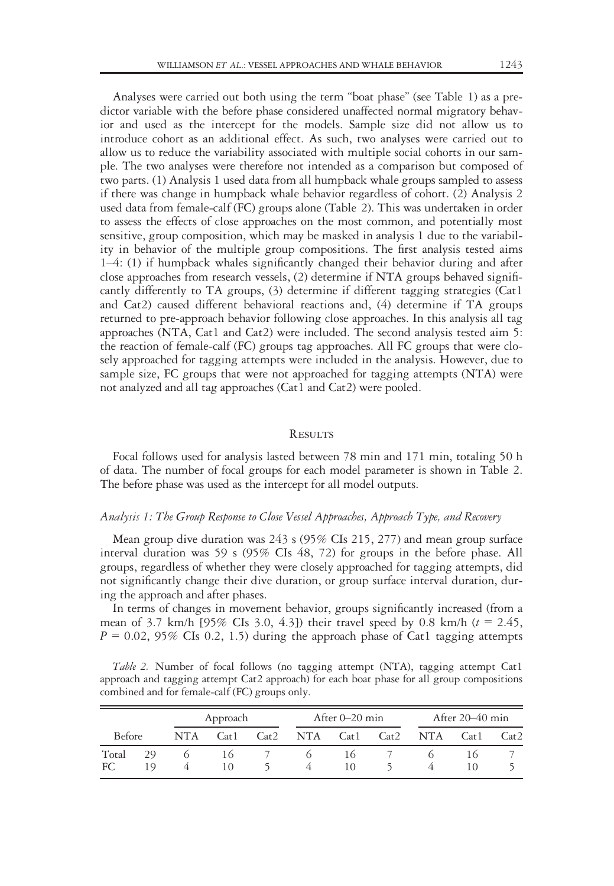Analyses were carried out both using the term "boat phase" (see Table 1) as a predictor variable with the before phase considered unaffected normal migratory behavior and used as the intercept for the models. Sample size did not allow us to introduce cohort as an additional effect. As such, two analyses were carried out to allow us to reduce the variability associated with multiple social cohorts in our sample. The two analyses were therefore not intended as a comparison but composed of two parts. (1) Analysis 1 used data from all humpback whale groups sampled to assess if there was change in humpback whale behavior regardless of cohort. (2) Analysis 2 used data from female-calf (FC) groups alone (Table 2). This was undertaken in order to assess the effects of close approaches on the most common, and potentially most sensitive, group composition, which may be masked in analysis 1 due to the variability in behavior of the multiple group compositions. The first analysis tested aims 1–4: (1) if humpback whales significantly changed their behavior during and after close approaches from research vessels, (2) determine if NTA groups behaved significantly differently to TA groups, (3) determine if different tagging strategies (Cat1 and Cat2) caused different behavioral reactions and, (4) determine if TA groups returned to pre-approach behavior following close approaches. In this analysis all tag approaches (NTA, Cat1 and Cat2) were included. The second analysis tested aim 5: the reaction of female-calf (FC) groups tag approaches. All FC groups that were closely approached for tagging attempts were included in the analysis. However, due to sample size, FC groups that were not approached for tagging attempts (NTA) were not analyzed and all tag approaches (Cat1 and Cat2) were pooled.

# **RESULTS**

Focal follows used for analysis lasted between 78 min and 171 min, totaling 50 h of data. The number of focal groups for each model parameter is shown in Table 2. The before phase was used as the intercept for all model outputs.

#### Analysis 1: The Group Response to Close Vessel Approaches, Approach Type, and Recovery

Mean group dive duration was 243 s (95% CIs 215, 277) and mean group surface interval duration was 59 s (95% CIs 48, 72) for groups in the before phase. All groups, regardless of whether they were closely approached for tagging attempts, did not significantly change their dive duration, or group surface interval duration, during the approach and after phases.

In terms of changes in movement behavior, groups significantly increased (from a mean of 3.7 km/h  $[95\%$  CIs 3.0, 4.3]) their travel speed by 0.8 km/h ( $t = 2.45$ ,  $P = 0.02$ , 95% CIs 0.2, 1.5) during the approach phase of Cat1 tagging attempts

Table 2. Number of focal follows (no tagging attempt (NTA), tagging attempt Cat1 approach and tagging attempt Cat2 approach) for each boat phase for all group compositions combined and for female-calf (FC) groups only.

|               |           | Approach |                   |      | After $0-20$ min |                   |  | After $20-40$ min |      |      |
|---------------|-----------|----------|-------------------|------|------------------|-------------------|--|-------------------|------|------|
| <b>Before</b> |           | NTA      | Cat <sub>1</sub>  | Cat2 |                  | NTA Cat1 Cat2     |  | <b>NTA</b>        | Cat1 | Cat2 |
| Total<br>FC.  | 29<br>1 Q |          | 16<br>$\vert$ ( ) |      |                  | ۱6<br>$\vert$ ( ) |  |                   |      |      |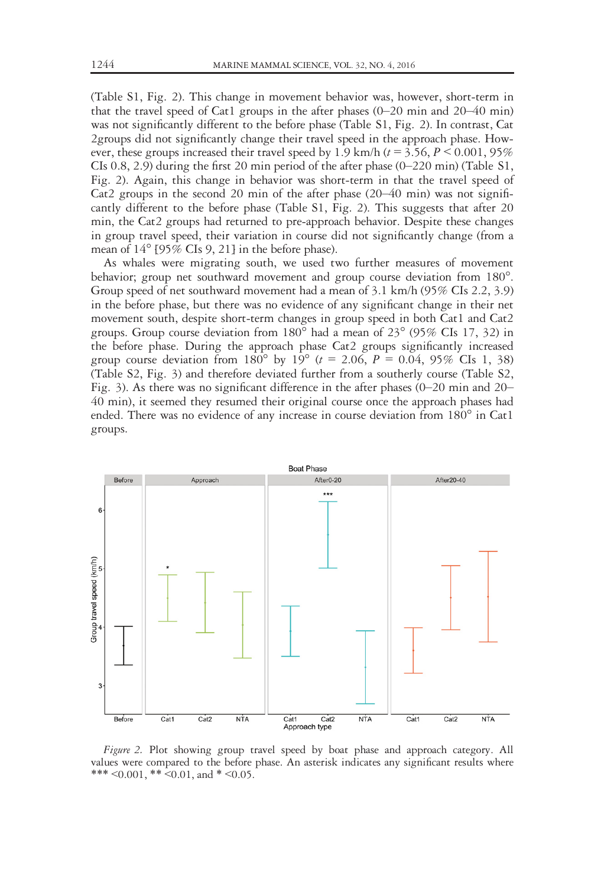(Table S1, Fig. 2). This change in movement behavior was, however, short-term in that the travel speed of Cat1 groups in the after phases  $(0-20 \text{ min and } 20-40 \text{ min})$ was not significantly different to the before phase (Table S1, Fig. 2). In contrast, Cat 2groups did not significantly change their travel speed in the approach phase. However, these groups increased their travel speed by 1.9 km/h ( $t = 3.56$ ,  $P \le 0.001$ , 95% CIs  $(0.8, 2.9)$  during the first 20 min period of the after phase  $(0-220 \text{ min})$  (Table S1, Fig. 2). Again, this change in behavior was short-term in that the travel speed of Cat2 groups in the second 20 min of the after phase  $(20-40 \text{ min})$  was not significantly different to the before phase (Table S1, Fig. 2). This suggests that after 20 min, the Cat2 groups had returned to pre-approach behavior. Despite these changes in group travel speed, their variation in course did not significantly change (from a mean of  $14^{\circ}$  [95% CIs 9, 21] in the before phase).

As whales were migrating south, we used two further measures of movement behavior; group net southward movement and group course deviation from 180<sup>o</sup>. Group speed of net southward movement had a mean of 3.1 km/h (95% CIs 2.2, 3.9) in the before phase, but there was no evidence of any significant change in their net movement south, despite short-term changes in group speed in both Cat1 and Cat2 groups. Group course deviation from  $180^{\circ}$  had a mean of  $23^{\circ}$  (95% CIs 17, 32) in the before phase. During the approach phase Cat2 groups significantly increased group course deviation from  $180^{\circ}$  by  $19^{\circ}$  (t = 2.06, P = 0.04, 95% CIs 1, 38) (Table S2, Fig. 3) and therefore deviated further from a southerly course (Table S2, Fig. 3). As there was no significant difference in the after phases (0–20 min and 20– 40 min), it seemed they resumed their original course once the approach phases had ended. There was no evidence of any increase in course deviation from  $180^\circ$  in Cat1 groups.



Figure 2. Plot showing group travel speed by boat phase and approach category. All values were compared to the before phase. An asterisk indicates any significant results where \*\*\*  $\leq 0.001$ , \*\*  $\leq 0.01$ , and \*  $\leq 0.05$ .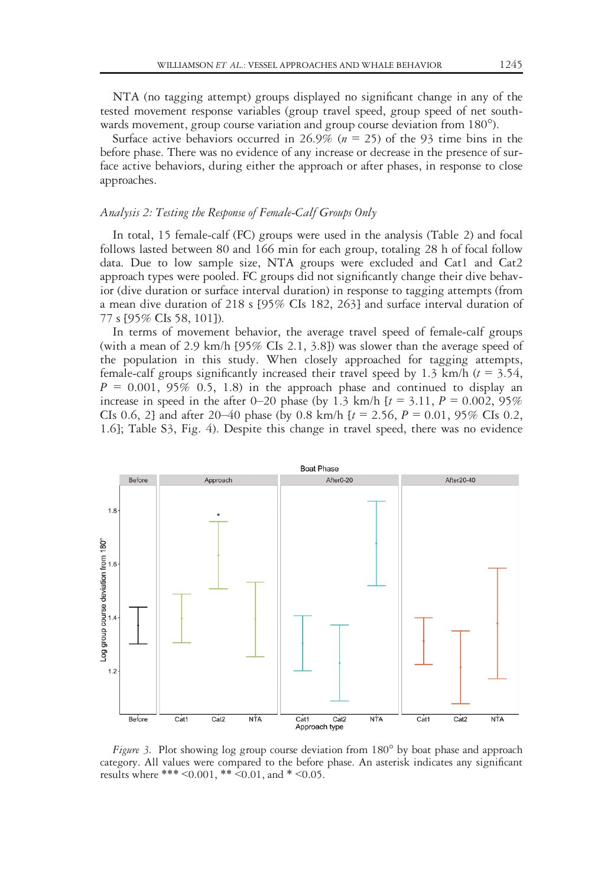NTA (no tagging attempt) groups displayed no significant change in any of the tested movement response variables (group travel speed, group speed of net southwards movement, group course variation and group course deviation from 180°).

Surface active behaviors occurred in 26.9% ( $n = 25$ ) of the 93 time bins in the before phase. There was no evidence of any increase or decrease in the presence of surface active behaviors, during either the approach or after phases, in response to close approaches.

# Analysis 2: Testing the Response of Female-Calf Groups Only

In total, 15 female-calf (FC) groups were used in the analysis (Table 2) and focal follows lasted between 80 and 166 min for each group, totaling 28 h of focal follow data. Due to low sample size, NTA groups were excluded and Cat1 and Cat2 approach types were pooled. FC groups did not significantly change their dive behavior (dive duration or surface interval duration) in response to tagging attempts (from a mean dive duration of 218 s [95% CIs 182, 263] and surface interval duration of 77 s [95% CIs 58, 101]).

In terms of movement behavior, the average travel speed of female-calf groups (with a mean of 2.9 km/h [95% CIs 2.1, 3.8]) was slower than the average speed of the population in this study. When closely approached for tagging attempts, female-calf groups significantly increased their travel speed by 1.3 km/h  $(t = 3.54)$ ,  $P = 0.001, 95\%$  0.5, 1.8) in the approach phase and continued to display an increase in speed in the after 0–20 phase (by 1.3 km/h  $[t = 3.11, P = 0.002, 95\%]$ CIs 0.6, 2] and after 20–40 phase (by 0.8 km/h  $[t = 2.56, P = 0.01, 95\%$  CIs 0.2, 1.6]; Table S3, Fig. 4). Despite this change in travel speed, there was no evidence



*Figure 3.* Plot showing log group course deviation from  $180^\circ$  by boat phase and approach category. All values were compared to the before phase. An asterisk indicates any significant results where \*\*\* < 0.001, \*\* < 0.01, and \* < 0.05.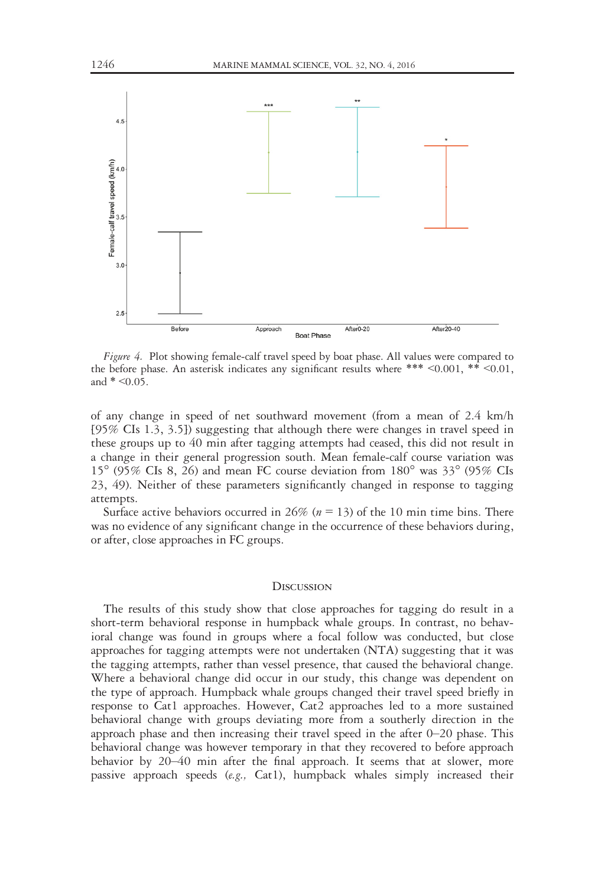

After<sub>0-20</sub> After20-40 Before Approach **Boat Phase** 

Figure 4. Plot showing female-calf travel speed by boat phase. All values were compared to the before phase. An asterisk indicates any significant results where \*\*\* <0.001, \*\* <0.01, and  $* < 0.05$ .

of any change in speed of net southward movement (from a mean of 2.4 km/h [95% CIs 1.3, 3.5]) suggesting that although there were changes in travel speed in these groups up to 40 min after tagging attempts had ceased, this did not result in a change in their general progression south. Mean female-calf course variation was  $15^{\circ}$  (95% CIs 8, 26) and mean FC course deviation from  $180^{\circ}$  was  $33^{\circ}$  (95% CIs 23, 49). Neither of these parameters significantly changed in response to tagging attempts.

Surface active behaviors occurred in 26% ( $n = 13$ ) of the 10 min time bins. There was no evidence of any significant change in the occurrence of these behaviors during, or after, close approaches in FC groups.

#### **DISCUSSION**

The results of this study show that close approaches for tagging do result in a short-term behavioral response in humpback whale groups. In contrast, no behavioral change was found in groups where a focal follow was conducted, but close approaches for tagging attempts were not undertaken (NTA) suggesting that it was the tagging attempts, rather than vessel presence, that caused the behavioral change. Where a behavioral change did occur in our study, this change was dependent on the type of approach. Humpback whale groups changed their travel speed briefly in response to Cat1 approaches. However, Cat2 approaches led to a more sustained behavioral change with groups deviating more from a southerly direction in the approach phase and then increasing their travel speed in the after 0–20 phase. This behavioral change was however temporary in that they recovered to before approach behavior by 20–40 min after the final approach. It seems that at slower, more passive approach speeds  $(e.g., \text{Cat}1)$ , humpback whales simply increased their

 $2.5$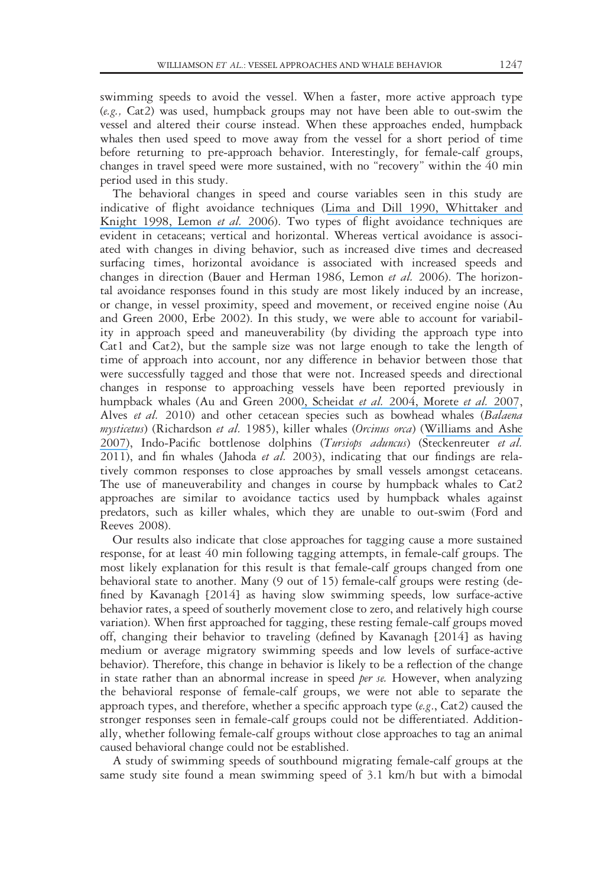swimming speeds to avoid the vessel. When a faster, more active approach type (e.g., Cat2) was used, humpback groups may not have been able to out-swim the vessel and altered their course instead. When these approaches ended, humpback whales then used speed to move away from the vessel for a short period of time before returning to pre-approach behavior. Interestingly, for female-calf groups, changes in travel speed were more sustained, with no "recovery" within the 40 min period used in this study.

The behavioral changes in speed and course variables seen in this study are indicative of flight avoidance techniques ([Lima and Dill 1990](https://www.researchgate.net/publication/249540692_Behavioral_Decisions_Made_under_the_Risk_of_Predation_A_Review_and_Prospectus?el=1_x_8&enrichId=rgreq-fd721b0735a7ab74e3b155e2d94872d5-XXX&enrichSource=Y292ZXJQYWdlOzMwMTY2ODI5MztBUzo0MTk2NDEwODA5OTE3NDVAMTQ3NzA2MTYzODcyMQ==)[, Whittaker and](https://www.researchgate.net/publication/285538544_Understanding_wildlife_responses_to_humans?el=1_x_8&enrichId=rgreq-fd721b0735a7ab74e3b155e2d94872d5-XXX&enrichSource=Y292ZXJQYWdlOzMwMTY2ODI5MztBUzo0MTk2NDEwODA5OTE3NDVAMTQ3NzA2MTYzODcyMQ==) [Knight 1998](https://www.researchgate.net/publication/285538544_Understanding_wildlife_responses_to_humans?el=1_x_8&enrichId=rgreq-fd721b0735a7ab74e3b155e2d94872d5-XXX&enrichSource=Y292ZXJQYWdlOzMwMTY2ODI5MztBUzo0MTk2NDEwODA5OTE3NDVAMTQ3NzA2MTYzODcyMQ==)[, Lemon](https://www.researchgate.net/publication/222395746_Response_of_travelling_bottlenose_dolphins_Tursiops_aduncus_to_experimental_approaches_by_a_powerboat_in_Jervis_Bay_New_South_Wales_Australia?el=1_x_8&enrichId=rgreq-fd721b0735a7ab74e3b155e2d94872d5-XXX&enrichSource=Y292ZXJQYWdlOzMwMTY2ODI5MztBUzo0MTk2NDEwODA5OTE3NDVAMTQ3NzA2MTYzODcyMQ==) et al. 2006). Two types of flight avoidance techniques are evident in cetaceans; vertical and horizontal. Whereas vertical avoidance is associated with changes in diving behavior, such as increased dive times and decreased surfacing times, horizontal avoidance is associated with increased speeds and changes in direction (Bauer and Herman 1986, Lemon et al. 2006). The horizontal avoidance responses found in this study are most likely induced by an increase, or change, in vessel proximity, speed and movement, or received engine noise (Au and Green 2000, Erbe 2002). In this study, we were able to account for variability in approach speed and maneuverability (by dividing the approach type into Cat1 and Cat2), but the sample size was not large enough to take the length of time of approach into account, nor any difference in behavior between those that were successfully tagged and those that were not. Increased speeds and directional changes in response to approaching vessels have been reported previously in humpback whales (Au and Green 200[0, Scheidat](https://www.researchgate.net/publication/228406892_Behavioural_responses_of_humpback_whales_Megaptera_novaeangliae_to_whalewatching_boats_near_Isla_de_la_Plata_Machalilla_National_Park_Ecuador?el=1_x_8&enrichId=rgreq-fd721b0735a7ab74e3b155e2d94872d5-XXX&enrichSource=Y292ZXJQYWdlOzMwMTY2ODI5MztBUzo0MTk2NDEwODA5OTE3NDVAMTQ3NzA2MTYzODcyMQ==) et al. 200[4, Morete](https://www.researchgate.net/publication/292364194_Mother_and_calf_humpback_whale_responses_to_vessels_around_the_Abrolhos_Archipelago_Bahia_Brazil?el=1_x_8&enrichId=rgreq-fd721b0735a7ab74e3b155e2d94872d5-XXX&enrichSource=Y292ZXJQYWdlOzMwMTY2ODI5MztBUzo0MTk2NDEwODA5OTE3NDVAMTQ3NzA2MTYzODcyMQ==) et al. 2007, Alves et al. 2010) and other cetacean species such as bowhead whales (Balaena mysticetus) (Richardson et al. 1985), killer whales (Orcinus orca) ([Williams and Ashe](https://www.researchgate.net/publication/227601346_Killer_whale_evasive_tactics_vary_with_boat_number?el=1_x_8&enrichId=rgreq-fd721b0735a7ab74e3b155e2d94872d5-XXX&enrichSource=Y292ZXJQYWdlOzMwMTY2ODI5MztBUzo0MTk2NDEwODA5OTE3NDVAMTQ3NzA2MTYzODcyMQ==) [2007\)](https://www.researchgate.net/publication/227601346_Killer_whale_evasive_tactics_vary_with_boat_number?el=1_x_8&enrichId=rgreq-fd721b0735a7ab74e3b155e2d94872d5-XXX&enrichSource=Y292ZXJQYWdlOzMwMTY2ODI5MztBUzo0MTk2NDEwODA5OTE3NDVAMTQ3NzA2MTYzODcyMQ==), Indo-Pacific bottlenose dolphins (Tursiops aduncus) (Steckenreuter et al. 2011), and fin whales (Jahoda *et al.* 2003), indicating that our findings are relatively common responses to close approaches by small vessels amongst cetaceans. The use of maneuverability and changes in course by humpback whales to Cat2 approaches are similar to avoidance tactics used by humpback whales against predators, such as killer whales, which they are unable to out-swim (Ford and Reeves 2008).

Our results also indicate that close approaches for tagging cause a more sustained response, for at least 40 min following tagging attempts, in female-calf groups. The most likely explanation for this result is that female-calf groups changed from one behavioral state to another. Many (9 out of 15) female-calf groups were resting (defined by Kavanagh [2014] as having slow swimming speeds, low surface-active behavior rates, a speed of southerly movement close to zero, and relatively high course variation). When first approached for tagging, these resting female-calf groups moved off, changing their behavior to traveling (defined by Kavanagh [2014] as having medium or average migratory swimming speeds and low levels of surface-active behavior). Therefore, this change in behavior is likely to be a reflection of the change in state rather than an abnormal increase in speed per se. However, when analyzing the behavioral response of female-calf groups, we were not able to separate the approach types, and therefore, whether a specific approach type  $(e.g., Cat2)$  caused the stronger responses seen in female-calf groups could not be differentiated. Additionally, whether following female-calf groups without close approaches to tag an animal caused behavioral change could not be established.

A study of swimming speeds of southbound migrating female-calf groups at the same study site found a mean swimming speed of 3.1 km/h but with a bimodal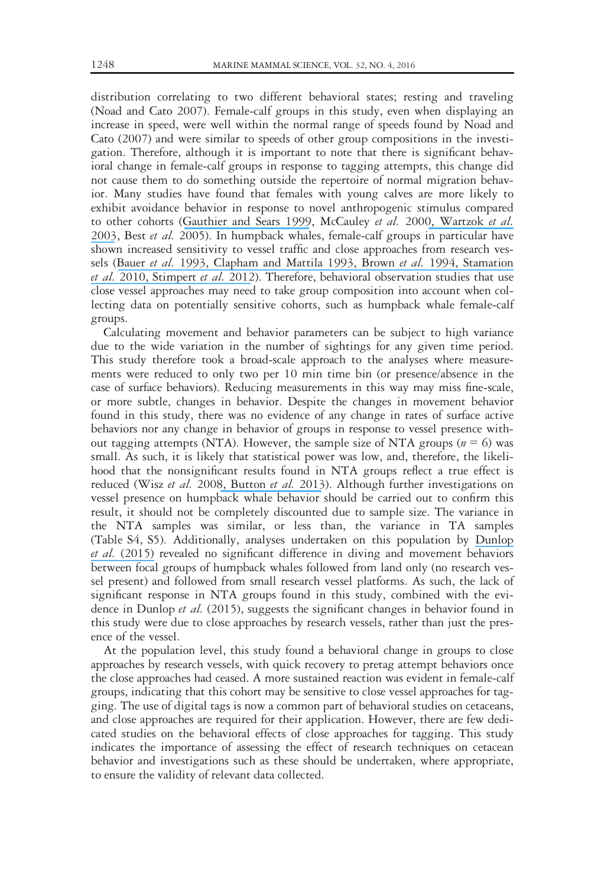distribution correlating to two different behavioral states; resting and traveling (Noad and Cato 2007). Female-calf groups in this study, even when displaying an increase in speed, were well within the normal range of speeds found by Noad and Cato (2007) and were similar to speeds of other group compositions in the investigation. Therefore, although it is important to note that there is significant behavioral change in female-calf groups in response to tagging attempts, this change did not cause them to do something outside the repertoire of normal migration behavior. Many studies have found that females with young calves are more likely to exhibit avoidance behavior in response to novel anthropogenic stimulus compared to other cohorts ([Gauthier and Sears 1999](https://www.researchgate.net/publication/229872354_Behavioral_response_of_four_species_of_Balaenopterid_whales_to_biopsy_sampling?el=1_x_8&enrichId=rgreq-fd721b0735a7ab74e3b155e2d94872d5-XXX&enrichSource=Y292ZXJQYWdlOzMwMTY2ODI5MztBUzo0MTk2NDEwODA5OTE3NDVAMTQ3NzA2MTYzODcyMQ==), McCauley et al. 200[0, Wartzok](https://www.researchgate.net/publication/233638567_Factors_Affecting_the_Responses_of_Marine_Mammals_to_Acoustic_Disturbance?el=1_x_8&enrichId=rgreq-fd721b0735a7ab74e3b155e2d94872d5-XXX&enrichSource=Y292ZXJQYWdlOzMwMTY2ODI5MztBUzo0MTk2NDEwODA5OTE3NDVAMTQ3NzA2MTYzODcyMQ==) et al. [2003](https://www.researchgate.net/publication/233638567_Factors_Affecting_the_Responses_of_Marine_Mammals_to_Acoustic_Disturbance?el=1_x_8&enrichId=rgreq-fd721b0735a7ab74e3b155e2d94872d5-XXX&enrichSource=Y292ZXJQYWdlOzMwMTY2ODI5MztBUzo0MTk2NDEwODA5OTE3NDVAMTQ3NzA2MTYzODcyMQ==), Best et al. 2005). In humpback whales, female-calf groups in particular have shown increased sensitivity to vessel traffic and close approaches from research vessels ([Bauer](https://www.researchgate.net/publication/260894775_Responses_of_wintering_humpback_whales_to_vessel_traffic?el=1_x_8&enrichId=rgreq-fd721b0735a7ab74e3b155e2d94872d5-XXX&enrichSource=Y292ZXJQYWdlOzMwMTY2ODI5MztBUzo0MTk2NDEwODA5OTE3NDVAMTQ3NzA2MTYzODcyMQ==) et al. 199[3, Clapham and Mattila 1993](https://www.researchgate.net/publication/230040813_Reactions_of_humpback_whales_to_skin_biopsy_sampling_on_a_West_Indies_breeding_ground?el=1_x_8&enrichId=rgreq-fd721b0735a7ab74e3b155e2d94872d5-XXX&enrichSource=Y292ZXJQYWdlOzMwMTY2ODI5MztBUzo0MTk2NDEwODA5OTE3NDVAMTQ3NzA2MTYzODcyMQ==)[, Brown](https://www.researchgate.net/publication/229776378_Behavioral_responses_of_East_Australian_humpback_whales_Megaptera_novaeangliae_to_biopsy_sampling?el=1_x_8&enrichId=rgreq-fd721b0735a7ab74e3b155e2d94872d5-XXX&enrichSource=Y292ZXJQYWdlOzMwMTY2ODI5MztBUzo0MTk2NDEwODA5OTE3NDVAMTQ3NzA2MTYzODcyMQ==) et al. 199[4, Stamation](https://www.researchgate.net/publication/230130414_Behavioral_responses_of_humpback_whales_Megaptera_novaeangliae_to_whale-watching_vessels_on_the_southeastern_coast_of_Australia?el=1_x_8&enrichId=rgreq-fd721b0735a7ab74e3b155e2d94872d5-XXX&enrichSource=Y292ZXJQYWdlOzMwMTY2ODI5MztBUzo0MTk2NDEwODA5OTE3NDVAMTQ3NzA2MTYzODcyMQ==) [et al.](https://www.researchgate.net/publication/230130414_Behavioral_responses_of_humpback_whales_Megaptera_novaeangliae_to_whale-watching_vessels_on_the_southeastern_coast_of_Australia?el=1_x_8&enrichId=rgreq-fd721b0735a7ab74e3b155e2d94872d5-XXX&enrichSource=Y292ZXJQYWdlOzMwMTY2ODI5MztBUzo0MTk2NDEwODA5OTE3NDVAMTQ3NzA2MTYzODcyMQ==) 201[0, Stimpert](https://www.researchgate.net/publication/277439029_Tagging_young_humpback_whale_calves_Methodology_and_diving_behavior?el=1_x_8&enrichId=rgreq-fd721b0735a7ab74e3b155e2d94872d5-XXX&enrichSource=Y292ZXJQYWdlOzMwMTY2ODI5MztBUzo0MTk2NDEwODA5OTE3NDVAMTQ3NzA2MTYzODcyMQ==) et al. 2012). Therefore, behavioral observation studies that use close vessel approaches may need to take group composition into account when collecting data on potentially sensitive cohorts, such as humpback whale female-calf groups.

Calculating movement and behavior parameters can be subject to high variance due to the wide variation in the number of sightings for any given time period. This study therefore took a broad-scale approach to the analyses where measurements were reduced to only two per 10 min time bin (or presence/absence in the case of surface behaviors). Reducing measurements in this way may miss fine-scale, or more subtle, changes in behavior. Despite the changes in movement behavior found in this study, there was no evidence of any change in rates of surface active behaviors nor any change in behavior of groups in response to vessel presence without tagging attempts (NTA). However, the sample size of NTA groups ( $n = 6$ ) was small. As such, it is likely that statistical power was low, and, therefore, the likelihood that the nonsignificant results found in NTA groups reflect a true effect is reduced (Wisz et al. 200[8, Button](https://www.researchgate.net/publication/236188359_Power_Failure_Why_Small_Sample_Size_Undermines_the_Reliability_of_Neuroscience?el=1_x_8&enrichId=rgreq-fd721b0735a7ab74e3b155e2d94872d5-XXX&enrichSource=Y292ZXJQYWdlOzMwMTY2ODI5MztBUzo0MTk2NDEwODA5OTE3NDVAMTQ3NzA2MTYzODcyMQ==) et al. 2013). Although further investigations on vessel presence on humpback whale behavior should be carried out to confirm this result, it should not be completely discounted due to sample size. The variance in the NTA samples was similar, or less than, the variance in TA samples (Table S4, S5). Additionally, analyses undertaken on this population by [Dunlop](https://www.researchgate.net/publication/284216876_The_Behavioural_Response_of_Humpback_Whales_Megaptera_novaeangliae_to_a_20_Cubic_Inch_Air_Gun?el=1_x_8&enrichId=rgreq-fd721b0735a7ab74e3b155e2d94872d5-XXX&enrichSource=Y292ZXJQYWdlOzMwMTY2ODI5MztBUzo0MTk2NDEwODA5OTE3NDVAMTQ3NzA2MTYzODcyMQ==) et al. [\(2015\)](https://www.researchgate.net/publication/284216876_The_Behavioural_Response_of_Humpback_Whales_Megaptera_novaeangliae_to_a_20_Cubic_Inch_Air_Gun?el=1_x_8&enrichId=rgreq-fd721b0735a7ab74e3b155e2d94872d5-XXX&enrichSource=Y292ZXJQYWdlOzMwMTY2ODI5MztBUzo0MTk2NDEwODA5OTE3NDVAMTQ3NzA2MTYzODcyMQ==) revealed no significant difference in diving and movement behaviors between focal groups of humpback whales followed from land only (no research vessel present) and followed from small research vessel platforms. As such, the lack of significant response in NTA groups found in this study, combined with the evidence in Dunlop et al. (2015), suggests the significant changes in behavior found in this study were due to close approaches by research vessels, rather than just the presence of the vessel.

At the population level, this study found a behavioral change in groups to close approaches by research vessels, with quick recovery to pretag attempt behaviors once the close approaches had ceased. A more sustained reaction was evident in female-calf groups, indicating that this cohort may be sensitive to close vessel approaches for tagging. The use of digital tags is now a common part of behavioral studies on cetaceans, and close approaches are required for their application. However, there are few dedicated studies on the behavioral effects of close approaches for tagging. This study indicates the importance of assessing the effect of research techniques on cetacean behavior and investigations such as these should be undertaken, where appropriate, to ensure the validity of relevant data collected.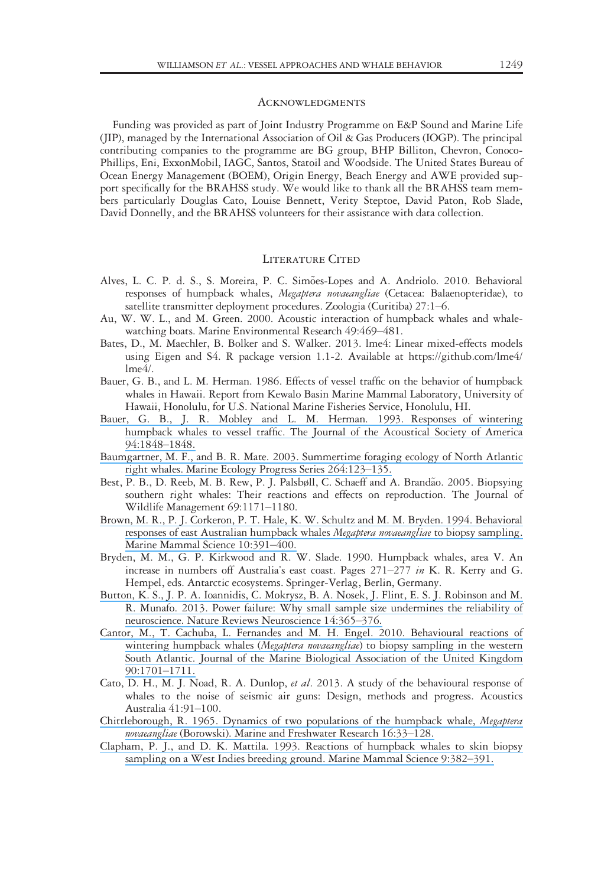#### **ACKNOWLEDGMENTS**

Funding was provided as part of Joint Industry Programme on E&P Sound and Marine Life (JIP), managed by the International Association of Oil & Gas Producers (IOGP). The principal contributing companies to the programme are BG group, BHP Billiton, Chevron, Conoco-Phillips, Eni, ExxonMobil, IAGC, Santos, Statoil and Woodside. The United States Bureau of Ocean Energy Management (BOEM), Origin Energy, Beach Energy and AWE provided support specifically for the BRAHSS study. We would like to thank all the BRAHSS team members particularly Douglas Cato, Louise Bennett, Verity Steptoe, David Paton, Rob Slade, David Donnelly, and the BRAHSS volunteers for their assistance with data collection.

#### LITERATURE CITED

- Alves, L. C. P. d. S., S. Moreira, P. C. Simões-Lopes and A. Andriolo. 2010. Behavioral responses of humpback whales, Megaptera novaeangliae (Cetacea: Balaenopteridae), to satellite transmitter deployment procedures. Zoologia (Curitiba) 27:1–6.
- Au, W. W. L., and M. Green. 2000. Acoustic interaction of humpback whales and whalewatching boats. Marine Environmental Research 49:469–481.
- Bates, D., M. Maechler, B. Bolker and S. Walker. 2013. lme4: Linear mixed-effects models using Eigen and S4. R package version 1.1-2. Available at [https://github.com/lme4/](https://github.com/lme4/lme4/)  $Ime<sub>4/</sub>$ .
- Bauer, G. B., and L. M. Herman. 1986. Effects of vessel traffic on the behavior of humpback whales in Hawaii. Report from Kewalo Basin Marine Mammal Laboratory, University of Hawaii, Honolulu, for U.S. National Marine Fisheries Service, Honolulu, HI.
- [Bauer, G. B., J. R. Mobley and L. M. Herman. 1993. Responses of wintering](https://www.researchgate.net/publication/260894775_Responses_of_wintering_humpback_whales_to_vessel_traffic?el=1_x_8&enrichId=rgreq-fd721b0735a7ab74e3b155e2d94872d5-XXX&enrichSource=Y292ZXJQYWdlOzMwMTY2ODI5MztBUzo0MTk2NDEwODA5OTE3NDVAMTQ3NzA2MTYzODcyMQ==) [humpback whales to vessel traffic. The Journal of the Acoustical Society of America](https://www.researchgate.net/publication/260894775_Responses_of_wintering_humpback_whales_to_vessel_traffic?el=1_x_8&enrichId=rgreq-fd721b0735a7ab74e3b155e2d94872d5-XXX&enrichSource=Y292ZXJQYWdlOzMwMTY2ODI5MztBUzo0MTk2NDEwODA5OTE3NDVAMTQ3NzA2MTYzODcyMQ==) [94:1848](https://www.researchgate.net/publication/260894775_Responses_of_wintering_humpback_whales_to_vessel_traffic?el=1_x_8&enrichId=rgreq-fd721b0735a7ab74e3b155e2d94872d5-XXX&enrichSource=Y292ZXJQYWdlOzMwMTY2ODI5MztBUzo0MTk2NDEwODA5OTE3NDVAMTQ3NzA2MTYzODcyMQ==)–1848.
- [Baumgartner, M. F., and B. R. Mate. 2003. Summertime foraging ecology of North Atlantic](https://www.researchgate.net/publication/250218033_Summertime_foraging_ecology_of_North_Atlantic_right_whales?el=1_x_8&enrichId=rgreq-fd721b0735a7ab74e3b155e2d94872d5-XXX&enrichSource=Y292ZXJQYWdlOzMwMTY2ODI5MztBUzo0MTk2NDEwODA5OTE3NDVAMTQ3NzA2MTYzODcyMQ==) [right whales. Marine Ecology Progress Series 264:123](https://www.researchgate.net/publication/250218033_Summertime_foraging_ecology_of_North_Atlantic_right_whales?el=1_x_8&enrichId=rgreq-fd721b0735a7ab74e3b155e2d94872d5-XXX&enrichSource=Y292ZXJQYWdlOzMwMTY2ODI5MztBUzo0MTk2NDEwODA5OTE3NDVAMTQ3NzA2MTYzODcyMQ==)–135.
- Best, P. B., D. Reeb, M. B. Rew, P. J. Palsbøll, C. Schaeff and A. Brandão. 2005. Biopsying southern right whales: Their reactions and effects on reproduction. The Journal of Wildlife Management 69:1171–1180.
- [Brown, M. R., P. J. Corkeron, P. T. Hale, K. W. Schultz and M. M. Bryden. 1994. Behavioral](https://www.researchgate.net/publication/229776378_Behavioral_responses_of_East_Australian_humpback_whales_Megaptera_novaeangliae_to_biopsy_sampling?el=1_x_8&enrichId=rgreq-fd721b0735a7ab74e3b155e2d94872d5-XXX&enrichSource=Y292ZXJQYWdlOzMwMTY2ODI5MztBUzo0MTk2NDEwODA5OTE3NDVAMTQ3NzA2MTYzODcyMQ==) [responses of east Australian humpback whales](https://www.researchgate.net/publication/229776378_Behavioral_responses_of_East_Australian_humpback_whales_Megaptera_novaeangliae_to_biopsy_sampling?el=1_x_8&enrichId=rgreq-fd721b0735a7ab74e3b155e2d94872d5-XXX&enrichSource=Y292ZXJQYWdlOzMwMTY2ODI5MztBUzo0MTk2NDEwODA5OTE3NDVAMTQ3NzA2MTYzODcyMQ==) Megaptera novaeangliae to biopsy sampling. [Marine Mammal Science 10:391](https://www.researchgate.net/publication/229776378_Behavioral_responses_of_East_Australian_humpback_whales_Megaptera_novaeangliae_to_biopsy_sampling?el=1_x_8&enrichId=rgreq-fd721b0735a7ab74e3b155e2d94872d5-XXX&enrichSource=Y292ZXJQYWdlOzMwMTY2ODI5MztBUzo0MTk2NDEwODA5OTE3NDVAMTQ3NzA2MTYzODcyMQ==)–400.
- Bryden, M. M., G. P. Kirkwood and R. W. Slade. 1990. Humpback whales, area V. An increase in numbers off Australia's east coast. Pages 271–277 in K. R. Kerry and G. Hempel, eds. Antarctic ecosystems. Springer-Verlag, Berlin, Germany.
- [Button, K. S., J. P. A. Ioannidis, C. Mokrysz, B. A. Nosek, J. Flint, E. S. J. Robinson and M.](https://www.researchgate.net/publication/236188359_Power_Failure_Why_Small_Sample_Size_Undermines_the_Reliability_of_Neuroscience?el=1_x_8&enrichId=rgreq-fd721b0735a7ab74e3b155e2d94872d5-XXX&enrichSource=Y292ZXJQYWdlOzMwMTY2ODI5MztBUzo0MTk2NDEwODA5OTE3NDVAMTQ3NzA2MTYzODcyMQ==) [R. Munafo. 2013. Power failure: Why small sample size undermines the reliability of](https://www.researchgate.net/publication/236188359_Power_Failure_Why_Small_Sample_Size_Undermines_the_Reliability_of_Neuroscience?el=1_x_8&enrichId=rgreq-fd721b0735a7ab74e3b155e2d94872d5-XXX&enrichSource=Y292ZXJQYWdlOzMwMTY2ODI5MztBUzo0MTk2NDEwODA5OTE3NDVAMTQ3NzA2MTYzODcyMQ==) [neuroscience. Nature Reviews Neuroscience 14:365](https://www.researchgate.net/publication/236188359_Power_Failure_Why_Small_Sample_Size_Undermines_the_Reliability_of_Neuroscience?el=1_x_8&enrichId=rgreq-fd721b0735a7ab74e3b155e2d94872d5-XXX&enrichSource=Y292ZXJQYWdlOzMwMTY2ODI5MztBUzo0MTk2NDEwODA5OTE3NDVAMTQ3NzA2MTYzODcyMQ==)–376.
- [Cantor, M., T. Cachuba, L. Fernandes and M. H. Engel. 2010. Behavioural reactions of](https://www.researchgate.net/publication/231794766_Behavioural_reactions_of_wintering_humpback_whales_Megaptera_novaeangliae_to_biopsy_sampling_in_the_western_South_Atlantic?el=1_x_8&enrichId=rgreq-fd721b0735a7ab74e3b155e2d94872d5-XXX&enrichSource=Y292ZXJQYWdlOzMwMTY2ODI5MztBUzo0MTk2NDEwODA5OTE3NDVAMTQ3NzA2MTYzODcyMQ==) wintering humpback whales (Megaptera novaeangliae[\) to biopsy sampling in the western](https://www.researchgate.net/publication/231794766_Behavioural_reactions_of_wintering_humpback_whales_Megaptera_novaeangliae_to_biopsy_sampling_in_the_western_South_Atlantic?el=1_x_8&enrichId=rgreq-fd721b0735a7ab74e3b155e2d94872d5-XXX&enrichSource=Y292ZXJQYWdlOzMwMTY2ODI5MztBUzo0MTk2NDEwODA5OTE3NDVAMTQ3NzA2MTYzODcyMQ==) [South Atlantic. Journal of the Marine Biological Association of the United Kingdom](https://www.researchgate.net/publication/231794766_Behavioural_reactions_of_wintering_humpback_whales_Megaptera_novaeangliae_to_biopsy_sampling_in_the_western_South_Atlantic?el=1_x_8&enrichId=rgreq-fd721b0735a7ab74e3b155e2d94872d5-XXX&enrichSource=Y292ZXJQYWdlOzMwMTY2ODI5MztBUzo0MTk2NDEwODA5OTE3NDVAMTQ3NzA2MTYzODcyMQ==) [90:1701](https://www.researchgate.net/publication/231794766_Behavioural_reactions_of_wintering_humpback_whales_Megaptera_novaeangliae_to_biopsy_sampling_in_the_western_South_Atlantic?el=1_x_8&enrichId=rgreq-fd721b0735a7ab74e3b155e2d94872d5-XXX&enrichSource=Y292ZXJQYWdlOzMwMTY2ODI5MztBUzo0MTk2NDEwODA5OTE3NDVAMTQ3NzA2MTYzODcyMQ==)–1711.
- Cato, D. H., M. J. Noad, R. A. Dunlop, et al. 2013. A study of the behavioural response of whales to the noise of seismic air guns: Design, methods and progress. Acoustics Australia 41:91–100.
- [Chittleborough, R. 1965. Dynamics of two populations of the humpback whale,](https://www.researchgate.net/publication/248885749_Dynamics_of_two_populations_of_the_humpback_whale_Megaptera_novaeangliae_Borowski?el=1_x_8&enrichId=rgreq-fd721b0735a7ab74e3b155e2d94872d5-XXX&enrichSource=Y292ZXJQYWdlOzMwMTY2ODI5MztBUzo0MTk2NDEwODA5OTE3NDVAMTQ3NzA2MTYzODcyMQ==) Megaptera novaeangliae [\(Borowski\). Marine and Freshwater Research 16:33](https://www.researchgate.net/publication/248885749_Dynamics_of_two_populations_of_the_humpback_whale_Megaptera_novaeangliae_Borowski?el=1_x_8&enrichId=rgreq-fd721b0735a7ab74e3b155e2d94872d5-XXX&enrichSource=Y292ZXJQYWdlOzMwMTY2ODI5MztBUzo0MTk2NDEwODA5OTE3NDVAMTQ3NzA2MTYzODcyMQ==)–128.
- [Clapham, P. J., and D. K. Mattila. 1993. Reactions of humpback whales to skin biopsy](https://www.researchgate.net/publication/230040813_Reactions_of_humpback_whales_to_skin_biopsy_sampling_on_a_West_Indies_breeding_ground?el=1_x_8&enrichId=rgreq-fd721b0735a7ab74e3b155e2d94872d5-XXX&enrichSource=Y292ZXJQYWdlOzMwMTY2ODI5MztBUzo0MTk2NDEwODA5OTE3NDVAMTQ3NzA2MTYzODcyMQ==) [sampling on a West Indies breeding ground. Marine Mammal Science 9:382](https://www.researchgate.net/publication/230040813_Reactions_of_humpback_whales_to_skin_biopsy_sampling_on_a_West_Indies_breeding_ground?el=1_x_8&enrichId=rgreq-fd721b0735a7ab74e3b155e2d94872d5-XXX&enrichSource=Y292ZXJQYWdlOzMwMTY2ODI5MztBUzo0MTk2NDEwODA5OTE3NDVAMTQ3NzA2MTYzODcyMQ==)–391.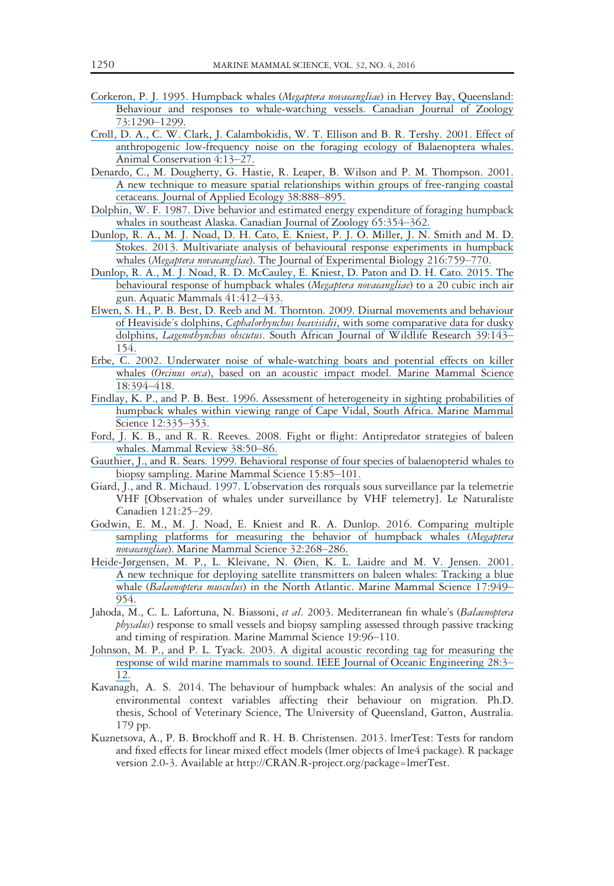- [Corkeron, P. J. 1995. Humpback whales \(](https://www.researchgate.net/publication/236246728_Humpback_whales_Megaptera_novaeangliae_in_Hervey_Bay_Queensland_behaviour_and_responses_to_whale-watching_vessels?el=1_x_8&enrichId=rgreq-fd721b0735a7ab74e3b155e2d94872d5-XXX&enrichSource=Y292ZXJQYWdlOzMwMTY2ODI5MztBUzo0MTk2NDEwODA5OTE3NDVAMTQ3NzA2MTYzODcyMQ==)Megaptera novaeangliae) in Hervey Bay, Queensland: [Behaviour and responses to whale-watching vessels. Canadian Journal of Zoology](https://www.researchgate.net/publication/236246728_Humpback_whales_Megaptera_novaeangliae_in_Hervey_Bay_Queensland_behaviour_and_responses_to_whale-watching_vessels?el=1_x_8&enrichId=rgreq-fd721b0735a7ab74e3b155e2d94872d5-XXX&enrichSource=Y292ZXJQYWdlOzMwMTY2ODI5MztBUzo0MTk2NDEwODA5OTE3NDVAMTQ3NzA2MTYzODcyMQ==) [73:1290](https://www.researchgate.net/publication/236246728_Humpback_whales_Megaptera_novaeangliae_in_Hervey_Bay_Queensland_behaviour_and_responses_to_whale-watching_vessels?el=1_x_8&enrichId=rgreq-fd721b0735a7ab74e3b155e2d94872d5-XXX&enrichSource=Y292ZXJQYWdlOzMwMTY2ODI5MztBUzo0MTk2NDEwODA5OTE3NDVAMTQ3NzA2MTYzODcyMQ==)–1299.
- [Croll, D. A., C. W. Clark, J. Calambokidis, W. T. Ellison and B. R. Tershy. 2001. Effect of](https://www.researchgate.net/publication/227534801_Effect_of_anthropogenic_low-frequency_noise_on_the_foraging_ecology_of_Balenoptera_whales?el=1_x_8&enrichId=rgreq-fd721b0735a7ab74e3b155e2d94872d5-XXX&enrichSource=Y292ZXJQYWdlOzMwMTY2ODI5MztBUzo0MTk2NDEwODA5OTE3NDVAMTQ3NzA2MTYzODcyMQ==) [anthropogenic low-frequency noise on the foraging ecology of Balaenoptera whales.](https://www.researchgate.net/publication/227534801_Effect_of_anthropogenic_low-frequency_noise_on_the_foraging_ecology_of_Balenoptera_whales?el=1_x_8&enrichId=rgreq-fd721b0735a7ab74e3b155e2d94872d5-XXX&enrichSource=Y292ZXJQYWdlOzMwMTY2ODI5MztBUzo0MTk2NDEwODA5OTE3NDVAMTQ3NzA2MTYzODcyMQ==) [Animal Conservation 4:13](https://www.researchgate.net/publication/227534801_Effect_of_anthropogenic_low-frequency_noise_on_the_foraging_ecology_of_Balenoptera_whales?el=1_x_8&enrichId=rgreq-fd721b0735a7ab74e3b155e2d94872d5-XXX&enrichSource=Y292ZXJQYWdlOzMwMTY2ODI5MztBUzo0MTk2NDEwODA5OTE3NDVAMTQ3NzA2MTYzODcyMQ==)–27.
- [Denardo, C., M. Dougherty, G. Hastie, R. Leaper, B. Wilson and P. M. Thompson. 2001.](https://www.researchgate.net/publication/227998324_A_new_technique_to_measure_spatial_relationships_within_groups_of_free-ranging_cetaceans?el=1_x_8&enrichId=rgreq-fd721b0735a7ab74e3b155e2d94872d5-XXX&enrichSource=Y292ZXJQYWdlOzMwMTY2ODI5MztBUzo0MTk2NDEwODA5OTE3NDVAMTQ3NzA2MTYzODcyMQ==) [A new technique to measure spatial relationships within groups of free-ranging coastal](https://www.researchgate.net/publication/227998324_A_new_technique_to_measure_spatial_relationships_within_groups_of_free-ranging_cetaceans?el=1_x_8&enrichId=rgreq-fd721b0735a7ab74e3b155e2d94872d5-XXX&enrichSource=Y292ZXJQYWdlOzMwMTY2ODI5MztBUzo0MTk2NDEwODA5OTE3NDVAMTQ3NzA2MTYzODcyMQ==) [cetaceans. Journal of Applied Ecology 38:888](https://www.researchgate.net/publication/227998324_A_new_technique_to_measure_spatial_relationships_within_groups_of_free-ranging_cetaceans?el=1_x_8&enrichId=rgreq-fd721b0735a7ab74e3b155e2d94872d5-XXX&enrichSource=Y292ZXJQYWdlOzMwMTY2ODI5MztBUzo0MTk2NDEwODA5OTE3NDVAMTQ3NzA2MTYzODcyMQ==)–895.
- [Dolphin, W. F. 1987. Dive behavior and estimated energy expenditure of foraging humpback](https://www.researchgate.net/publication/238007932_Dive_behavior_and_estimated_energy_expenditure_of_foraging_humpback_whales_in_Southeast_Alaska?el=1_x_8&enrichId=rgreq-fd721b0735a7ab74e3b155e2d94872d5-XXX&enrichSource=Y292ZXJQYWdlOzMwMTY2ODI5MztBUzo0MTk2NDEwODA5OTE3NDVAMTQ3NzA2MTYzODcyMQ==) [whales in southeast Alaska. Canadian Journal of Zoology 65:354](https://www.researchgate.net/publication/238007932_Dive_behavior_and_estimated_energy_expenditure_of_foraging_humpback_whales_in_Southeast_Alaska?el=1_x_8&enrichId=rgreq-fd721b0735a7ab74e3b155e2d94872d5-XXX&enrichSource=Y292ZXJQYWdlOzMwMTY2ODI5MztBUzo0MTk2NDEwODA5OTE3NDVAMTQ3NzA2MTYzODcyMQ==)–362.
- [Dunlop, R. A., M. J. Noad, D. H. Cato, E. Kniest, P. J. O. Miller, J. N. Smith and M. D.](https://www.researchgate.net/publication/233424146_Multivariate_analysis_of_behavioural_response_experiments_in_humpback_whales_Megaptera_novaeangliae?el=1_x_8&enrichId=rgreq-fd721b0735a7ab74e3b155e2d94872d5-XXX&enrichSource=Y292ZXJQYWdlOzMwMTY2ODI5MztBUzo0MTk2NDEwODA5OTE3NDVAMTQ3NzA2MTYzODcyMQ==) [Stokes. 2013. Multivariate analysis of behavioural response experiments in humpback](https://www.researchgate.net/publication/233424146_Multivariate_analysis_of_behavioural_response_experiments_in_humpback_whales_Megaptera_novaeangliae?el=1_x_8&enrichId=rgreq-fd721b0735a7ab74e3b155e2d94872d5-XXX&enrichSource=Y292ZXJQYWdlOzMwMTY2ODI5MztBUzo0MTk2NDEwODA5OTE3NDVAMTQ3NzA2MTYzODcyMQ==) whales (Megaptera novaeangliae[\). The Journal of Experimental Biology 216:759](https://www.researchgate.net/publication/233424146_Multivariate_analysis_of_behavioural_response_experiments_in_humpback_whales_Megaptera_novaeangliae?el=1_x_8&enrichId=rgreq-fd721b0735a7ab74e3b155e2d94872d5-XXX&enrichSource=Y292ZXJQYWdlOzMwMTY2ODI5MztBUzo0MTk2NDEwODA5OTE3NDVAMTQ3NzA2MTYzODcyMQ==)–770.
- [Dunlop, R. A., M. J. Noad, R. D. McCauley, E. Kniest, D. Paton and D. H. Cato. 2015. The](https://www.researchgate.net/publication/284216876_The_Behavioural_Response_of_Humpback_Whales_Megaptera_novaeangliae_to_a_20_Cubic_Inch_Air_Gun?el=1_x_8&enrichId=rgreq-fd721b0735a7ab74e3b155e2d94872d5-XXX&enrichSource=Y292ZXJQYWdlOzMwMTY2ODI5MztBUzo0MTk2NDEwODA5OTE3NDVAMTQ3NzA2MTYzODcyMQ==) [behavioural response of humpback whales \(](https://www.researchgate.net/publication/284216876_The_Behavioural_Response_of_Humpback_Whales_Megaptera_novaeangliae_to_a_20_Cubic_Inch_Air_Gun?el=1_x_8&enrichId=rgreq-fd721b0735a7ab74e3b155e2d94872d5-XXX&enrichSource=Y292ZXJQYWdlOzMwMTY2ODI5MztBUzo0MTk2NDEwODA5OTE3NDVAMTQ3NzA2MTYzODcyMQ==)*Megaptera novaeangliae*) to a 20 cubic inch air [gun. Aquatic Mammals 41:412](https://www.researchgate.net/publication/284216876_The_Behavioural_Response_of_Humpback_Whales_Megaptera_novaeangliae_to_a_20_Cubic_Inch_Air_Gun?el=1_x_8&enrichId=rgreq-fd721b0735a7ab74e3b155e2d94872d5-XXX&enrichSource=Y292ZXJQYWdlOzMwMTY2ODI5MztBUzo0MTk2NDEwODA5OTE3NDVAMTQ3NzA2MTYzODcyMQ==)–433.
- [Elwen, S. H., P. B. Best, D. Reeb and M. Thornton. 2009. Diurnal movements and behaviour](https://www.researchgate.net/publication/235950980_Diurnal_Movements_and_Behaviour_of_Heaviside) of Heaviside's dolphins, Cephalorhynchus heavisidii[, with some comparative data for dusky](https://www.researchgate.net/publication/235950980_Diurnal_Movements_and_Behaviour_of_Heaviside) dolphins, Lagenothynchus obscutus[. South African Journal of Wildlife Research 39:143](https://www.researchgate.net/publication/235950980_Diurnal_Movements_and_Behaviour_of_Heaviside)-[154.](https://www.researchgate.net/publication/235950980_Diurnal_Movements_and_Behaviour_of_Heaviside)
- [Erbe, C. 2002. Underwater noise of whale-watching boats and potential effects on killer](https://www.researchgate.net/publication/228699553_Underwater_noise_of_whale-watching_boats_and_potential_effects_on_killer_whales_Orcinus_orca_based_on_an_acoustic_impact_model?el=1_x_8&enrichId=rgreq-fd721b0735a7ab74e3b155e2d94872d5-XXX&enrichSource=Y292ZXJQYWdlOzMwMTY2ODI5MztBUzo0MTk2NDEwODA5OTE3NDVAMTQ3NzA2MTYzODcyMQ==) whales (Orcinus orca[\), based on an acoustic impact model. Marine Mammal Science](https://www.researchgate.net/publication/228699553_Underwater_noise_of_whale-watching_boats_and_potential_effects_on_killer_whales_Orcinus_orca_based_on_an_acoustic_impact_model?el=1_x_8&enrichId=rgreq-fd721b0735a7ab74e3b155e2d94872d5-XXX&enrichSource=Y292ZXJQYWdlOzMwMTY2ODI5MztBUzo0MTk2NDEwODA5OTE3NDVAMTQ3NzA2MTYzODcyMQ==) [18:394](https://www.researchgate.net/publication/228699553_Underwater_noise_of_whale-watching_boats_and_potential_effects_on_killer_whales_Orcinus_orca_based_on_an_acoustic_impact_model?el=1_x_8&enrichId=rgreq-fd721b0735a7ab74e3b155e2d94872d5-XXX&enrichSource=Y292ZXJQYWdlOzMwMTY2ODI5MztBUzo0MTk2NDEwODA5OTE3NDVAMTQ3NzA2MTYzODcyMQ==)–418.
- [Findlay, K. P., and P. B. Best. 1996. Assessment of heterogeneity in sighting probabilities of](https://www.researchgate.net/publication/229703304_Assessment_of_heterogeneity_in_sighting_probabilities_of_humpback_whales_within_viewing_range_of_Cape_Vidal_South_Africa?el=1_x_8&enrichId=rgreq-fd721b0735a7ab74e3b155e2d94872d5-XXX&enrichSource=Y292ZXJQYWdlOzMwMTY2ODI5MztBUzo0MTk2NDEwODA5OTE3NDVAMTQ3NzA2MTYzODcyMQ==) [humpback whales within viewing range of Cape Vidal, South Africa. Marine Mammal](https://www.researchgate.net/publication/229703304_Assessment_of_heterogeneity_in_sighting_probabilities_of_humpback_whales_within_viewing_range_of_Cape_Vidal_South_Africa?el=1_x_8&enrichId=rgreq-fd721b0735a7ab74e3b155e2d94872d5-XXX&enrichSource=Y292ZXJQYWdlOzMwMTY2ODI5MztBUzo0MTk2NDEwODA5OTE3NDVAMTQ3NzA2MTYzODcyMQ==) [Science 12:335](https://www.researchgate.net/publication/229703304_Assessment_of_heterogeneity_in_sighting_probabilities_of_humpback_whales_within_viewing_range_of_Cape_Vidal_South_Africa?el=1_x_8&enrichId=rgreq-fd721b0735a7ab74e3b155e2d94872d5-XXX&enrichSource=Y292ZXJQYWdlOzMwMTY2ODI5MztBUzo0MTk2NDEwODA5OTE3NDVAMTQ3NzA2MTYzODcyMQ==)–353.
- [Ford, J. K. B., and R. R. Reeves. 2008. Fight or flight: Antipredator strategies of baleen](https://www.researchgate.net/publication/229779570_Fight_or_flight_Antipredator_strategies_of_baleen_whales?el=1_x_8&enrichId=rgreq-fd721b0735a7ab74e3b155e2d94872d5-XXX&enrichSource=Y292ZXJQYWdlOzMwMTY2ODI5MztBUzo0MTk2NDEwODA5OTE3NDVAMTQ3NzA2MTYzODcyMQ==) [whales. Mammal Review 38:50](https://www.researchgate.net/publication/229779570_Fight_or_flight_Antipredator_strategies_of_baleen_whales?el=1_x_8&enrichId=rgreq-fd721b0735a7ab74e3b155e2d94872d5-XXX&enrichSource=Y292ZXJQYWdlOzMwMTY2ODI5MztBUzo0MTk2NDEwODA5OTE3NDVAMTQ3NzA2MTYzODcyMQ==)–86.
- [Gauthier, J., and R. Sears. 1999. Behavioral response of four species of balaenopterid whales to](https://www.researchgate.net/publication/229872354_Behavioral_response_of_four_species_of_Balaenopterid_whales_to_biopsy_sampling?el=1_x_8&enrichId=rgreq-fd721b0735a7ab74e3b155e2d94872d5-XXX&enrichSource=Y292ZXJQYWdlOzMwMTY2ODI5MztBUzo0MTk2NDEwODA5OTE3NDVAMTQ3NzA2MTYzODcyMQ==) [biopsy sampling. Marine Mammal Science 15:85](https://www.researchgate.net/publication/229872354_Behavioral_response_of_four_species_of_Balaenopterid_whales_to_biopsy_sampling?el=1_x_8&enrichId=rgreq-fd721b0735a7ab74e3b155e2d94872d5-XXX&enrichSource=Y292ZXJQYWdlOzMwMTY2ODI5MztBUzo0MTk2NDEwODA5OTE3NDVAMTQ3NzA2MTYzODcyMQ==)–101.
- Giard, J., and R. Michaud. 1997. L'observation des rorquals sous surveillance par la telemetrie VHF [Observation of whales under surveillance by VHF telemetry]. Le Naturaliste Canadien 121:25–29.
- [Godwin, E. M., M. J. Noad, E. Kniest and R. A. Dunlop. 2016. Comparing multiple](https://www.researchgate.net/publication/281769290_Comparing_multiple_sampling_platforms_for_measuring_the_behavior_of_humpback_whales_Megaptera_novaeangliae?el=1_x_8&enrichId=rgreq-fd721b0735a7ab74e3b155e2d94872d5-XXX&enrichSource=Y292ZXJQYWdlOzMwMTY2ODI5MztBUzo0MTk2NDEwODA5OTE3NDVAMTQ3NzA2MTYzODcyMQ==) [sampling platforms for measuring the behavior of humpback whales \(](https://www.researchgate.net/publication/281769290_Comparing_multiple_sampling_platforms_for_measuring_the_behavior_of_humpback_whales_Megaptera_novaeangliae?el=1_x_8&enrichId=rgreq-fd721b0735a7ab74e3b155e2d94872d5-XXX&enrichSource=Y292ZXJQYWdlOzMwMTY2ODI5MztBUzo0MTk2NDEwODA5OTE3NDVAMTQ3NzA2MTYzODcyMQ==)Megaptera novaeangliae[\). Marine Mammal Science 32:268](https://www.researchgate.net/publication/281769290_Comparing_multiple_sampling_platforms_for_measuring_the_behavior_of_humpback_whales_Megaptera_novaeangliae?el=1_x_8&enrichId=rgreq-fd721b0735a7ab74e3b155e2d94872d5-XXX&enrichSource=Y292ZXJQYWdlOzMwMTY2ODI5MztBUzo0MTk2NDEwODA5OTE3NDVAMTQ3NzA2MTYzODcyMQ==)-286.
- [Heide-Jørgensen, M. P., L. Kleivane, N. Øien, K. L. Laidre and M. V. Jensen. 2001.](https://www.researchgate.net/publication/230159447_A_new_technique_for_deploying_satellite_transmitters_on_baleen_whales_Tracking_a_blue_whale_Balaenoptera_musculus_in_the_North_Atlantic?el=1_x_8&enrichId=rgreq-fd721b0735a7ab74e3b155e2d94872d5-XXX&enrichSource=Y292ZXJQYWdlOzMwMTY2ODI5MztBUzo0MTk2NDEwODA5OTE3NDVAMTQ3NzA2MTYzODcyMQ==) [A new technique for deploying satellite transmitters on baleen whales: Tracking a blue](https://www.researchgate.net/publication/230159447_A_new_technique_for_deploying_satellite_transmitters_on_baleen_whales_Tracking_a_blue_whale_Balaenoptera_musculus_in_the_North_Atlantic?el=1_x_8&enrichId=rgreq-fd721b0735a7ab74e3b155e2d94872d5-XXX&enrichSource=Y292ZXJQYWdlOzMwMTY2ODI5MztBUzo0MTk2NDEwODA5OTE3NDVAMTQ3NzA2MTYzODcyMQ==) whale (Balaenoptera musculus[\) in the North Atlantic. Marine Mammal Science 17:949](https://www.researchgate.net/publication/230159447_A_new_technique_for_deploying_satellite_transmitters_on_baleen_whales_Tracking_a_blue_whale_Balaenoptera_musculus_in_the_North_Atlantic?el=1_x_8&enrichId=rgreq-fd721b0735a7ab74e3b155e2d94872d5-XXX&enrichSource=Y292ZXJQYWdlOzMwMTY2ODI5MztBUzo0MTk2NDEwODA5OTE3NDVAMTQ3NzA2MTYzODcyMQ==)– [954.](https://www.researchgate.net/publication/230159447_A_new_technique_for_deploying_satellite_transmitters_on_baleen_whales_Tracking_a_blue_whale_Balaenoptera_musculus_in_the_North_Atlantic?el=1_x_8&enrichId=rgreq-fd721b0735a7ab74e3b155e2d94872d5-XXX&enrichSource=Y292ZXJQYWdlOzMwMTY2ODI5MztBUzo0MTk2NDEwODA5OTE3NDVAMTQ3NzA2MTYzODcyMQ==)
- Jahoda, M., C. L. Lafortuna, N. Biassoni, et al. 2003. Mediterranean fin whale's (Balaenoptera physalus) response to small vessels and biopsy sampling assessed through passive tracking and timing of respiration. Marine Mammal Science 19:96–110.
- [Johnson, M. P., and P. L. Tyack. 2003. A digital acoustic recording tag for measuring the](https://www.researchgate.net/publication/3231925_A_digital_acoutic_recording_tag_for_measuring_the_response_of_wild_marine_mammals_to_sound?el=1_x_8&enrichId=rgreq-fd721b0735a7ab74e3b155e2d94872d5-XXX&enrichSource=Y292ZXJQYWdlOzMwMTY2ODI5MztBUzo0MTk2NDEwODA5OTE3NDVAMTQ3NzA2MTYzODcyMQ==) [response of wild marine mammals to sound. IEEE Journal of Oceanic Engineering 28:3](https://www.researchgate.net/publication/3231925_A_digital_acoutic_recording_tag_for_measuring_the_response_of_wild_marine_mammals_to_sound?el=1_x_8&enrichId=rgreq-fd721b0735a7ab74e3b155e2d94872d5-XXX&enrichSource=Y292ZXJQYWdlOzMwMTY2ODI5MztBUzo0MTk2NDEwODA5OTE3NDVAMTQ3NzA2MTYzODcyMQ==)– [12.](https://www.researchgate.net/publication/3231925_A_digital_acoutic_recording_tag_for_measuring_the_response_of_wild_marine_mammals_to_sound?el=1_x_8&enrichId=rgreq-fd721b0735a7ab74e3b155e2d94872d5-XXX&enrichSource=Y292ZXJQYWdlOzMwMTY2ODI5MztBUzo0MTk2NDEwODA5OTE3NDVAMTQ3NzA2MTYzODcyMQ==)
- Kavanagh, A. S. 2014. The behaviour of humpback whales: An analysis of the social and environmental context variables affecting their behaviour on migration. Ph.D. thesis, School of Veterinary Science, The University of Queensland, Gatton, Australia. 179 pp.
- Kuznetsova, A., P. B. Brockhoff and R. H. B. Christensen. 2013. lmerTest: Tests for random and fixed effects for linear mixed effect models (lmer objects of lme4 package). R package version 2.0-3. Available at [http://CRAN.R-project.org/package=lmerTest.](http://CRAN.R-project.org/package=lmerTest)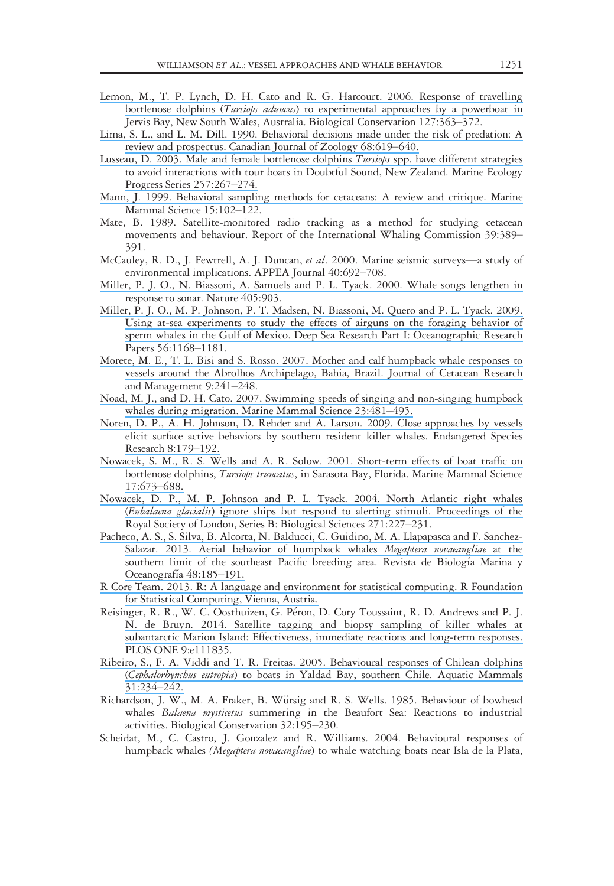- [Lemon, M., T. P. Lynch, D. H. Cato and R. G. Harcourt. 2006. Response of travelling](https://www.researchgate.net/publication/222395746_Response_of_travelling_bottlenose_dolphins_Tursiops_aduncus_to_experimental_approaches_by_a_powerboat_in_Jervis_Bay_New_South_Wales_Australia?el=1_x_8&enrichId=rgreq-fd721b0735a7ab74e3b155e2d94872d5-XXX&enrichSource=Y292ZXJQYWdlOzMwMTY2ODI5MztBUzo0MTk2NDEwODA5OTE3NDVAMTQ3NzA2MTYzODcyMQ==) bottlenose dolphins (Tursiops aduncus[\) to experimental approaches by a powerboat in](https://www.researchgate.net/publication/222395746_Response_of_travelling_bottlenose_dolphins_Tursiops_aduncus_to_experimental_approaches_by_a_powerboat_in_Jervis_Bay_New_South_Wales_Australia?el=1_x_8&enrichId=rgreq-fd721b0735a7ab74e3b155e2d94872d5-XXX&enrichSource=Y292ZXJQYWdlOzMwMTY2ODI5MztBUzo0MTk2NDEwODA5OTE3NDVAMTQ3NzA2MTYzODcyMQ==) [Jervis Bay, New South Wales, Australia. Biological Conservation 127:363](https://www.researchgate.net/publication/222395746_Response_of_travelling_bottlenose_dolphins_Tursiops_aduncus_to_experimental_approaches_by_a_powerboat_in_Jervis_Bay_New_South_Wales_Australia?el=1_x_8&enrichId=rgreq-fd721b0735a7ab74e3b155e2d94872d5-XXX&enrichSource=Y292ZXJQYWdlOzMwMTY2ODI5MztBUzo0MTk2NDEwODA5OTE3NDVAMTQ3NzA2MTYzODcyMQ==)–372.
- [Lima, S. L., and L. M. Dill. 1990. Behavioral decisions made under the risk of predation: A](https://www.researchgate.net/publication/249540692_Behavioral_Decisions_Made_under_the_Risk_of_Predation_A_Review_and_Prospectus?el=1_x_8&enrichId=rgreq-fd721b0735a7ab74e3b155e2d94872d5-XXX&enrichSource=Y292ZXJQYWdlOzMwMTY2ODI5MztBUzo0MTk2NDEwODA5OTE3NDVAMTQ3NzA2MTYzODcyMQ==) [review and prospectus. Canadian Journal of Zoology 68:619](https://www.researchgate.net/publication/249540692_Behavioral_Decisions_Made_under_the_Risk_of_Predation_A_Review_and_Prospectus?el=1_x_8&enrichId=rgreq-fd721b0735a7ab74e3b155e2d94872d5-XXX&enrichSource=Y292ZXJQYWdlOzMwMTY2ODI5MztBUzo0MTk2NDEwODA5OTE3NDVAMTQ3NzA2MTYzODcyMQ==)–640.
- [Lusseau, D. 2003. Male and female bottlenose dolphins](https://www.researchgate.net/publication/250217946_Male_and_female_bottlenose_dolphins_Tursiops_spp_have_different_strategies_to_avoid_interactions_with_tour_boats_in_Doubtful_Sound_New_Zealand?el=1_x_8&enrichId=rgreq-fd721b0735a7ab74e3b155e2d94872d5-XXX&enrichSource=Y292ZXJQYWdlOzMwMTY2ODI5MztBUzo0MTk2NDEwODA5OTE3NDVAMTQ3NzA2MTYzODcyMQ==) Tursiops spp. have different strategies [to avoid interactions with tour boats in Doubtful Sound, New Zealand. Marine Ecology](https://www.researchgate.net/publication/250217946_Male_and_female_bottlenose_dolphins_Tursiops_spp_have_different_strategies_to_avoid_interactions_with_tour_boats_in_Doubtful_Sound_New_Zealand?el=1_x_8&enrichId=rgreq-fd721b0735a7ab74e3b155e2d94872d5-XXX&enrichSource=Y292ZXJQYWdlOzMwMTY2ODI5MztBUzo0MTk2NDEwODA5OTE3NDVAMTQ3NzA2MTYzODcyMQ==) [Progress Series 257:267](https://www.researchgate.net/publication/250217946_Male_and_female_bottlenose_dolphins_Tursiops_spp_have_different_strategies_to_avoid_interactions_with_tour_boats_in_Doubtful_Sound_New_Zealand?el=1_x_8&enrichId=rgreq-fd721b0735a7ab74e3b155e2d94872d5-XXX&enrichSource=Y292ZXJQYWdlOzMwMTY2ODI5MztBUzo0MTk2NDEwODA5OTE3NDVAMTQ3NzA2MTYzODcyMQ==)–274.
- [Mann, J. 1999. Behavioral sampling methods for cetaceans: A review and critique. Marine](https://www.researchgate.net/publication/227646426_Behavioral_sampling_methods_for_cetaceans_A_review_and_critique?el=1_x_8&enrichId=rgreq-fd721b0735a7ab74e3b155e2d94872d5-XXX&enrichSource=Y292ZXJQYWdlOzMwMTY2ODI5MztBUzo0MTk2NDEwODA5OTE3NDVAMTQ3NzA2MTYzODcyMQ==) [Mammal Science 15:102](https://www.researchgate.net/publication/227646426_Behavioral_sampling_methods_for_cetaceans_A_review_and_critique?el=1_x_8&enrichId=rgreq-fd721b0735a7ab74e3b155e2d94872d5-XXX&enrichSource=Y292ZXJQYWdlOzMwMTY2ODI5MztBUzo0MTk2NDEwODA5OTE3NDVAMTQ3NzA2MTYzODcyMQ==)–122.
- Mate, B. 1989. Satellite-monitored radio tracking as a method for studying cetacean movements and behaviour. Report of the International Whaling Commission 39:389– 391.
- McCauley, R. D., J. Fewtrell, A. J. Duncan, et al. 2000. Marine seismic surveys—a study of environmental implications. APPEA Journal 40:692–708.
- [Miller, P. J. O., N. Biassoni, A. Samuels and P. L. Tyack. 2000. Whale songs lengthen in](https://www.researchgate.net/publication/12438497_Whale_songs_lengthen_in_response_to_sonar?el=1_x_8&enrichId=rgreq-fd721b0735a7ab74e3b155e2d94872d5-XXX&enrichSource=Y292ZXJQYWdlOzMwMTY2ODI5MztBUzo0MTk2NDEwODA5OTE3NDVAMTQ3NzA2MTYzODcyMQ==) [response to sonar. Nature 405:903.](https://www.researchgate.net/publication/12438497_Whale_songs_lengthen_in_response_to_sonar?el=1_x_8&enrichId=rgreq-fd721b0735a7ab74e3b155e2d94872d5-XXX&enrichSource=Y292ZXJQYWdlOzMwMTY2ODI5MztBUzo0MTk2NDEwODA5OTE3NDVAMTQ3NzA2MTYzODcyMQ==)
- [Miller, P. J. O., M. P. Johnson, P. T. Madsen, N. Biassoni, M. Quero and P. L. Tyack. 2009.](https://www.researchgate.net/publication/223313769_Using_at-sea_experiments_to_study_the_effects_of_airguns_on_the_foraging_behavior_of_sperm_whales_in_the_Gulf_of_Mexico?el=1_x_8&enrichId=rgreq-fd721b0735a7ab74e3b155e2d94872d5-XXX&enrichSource=Y292ZXJQYWdlOzMwMTY2ODI5MztBUzo0MTk2NDEwODA5OTE3NDVAMTQ3NzA2MTYzODcyMQ==) [Using at-sea experiments to study the effects of airguns on the foraging behavior of](https://www.researchgate.net/publication/223313769_Using_at-sea_experiments_to_study_the_effects_of_airguns_on_the_foraging_behavior_of_sperm_whales_in_the_Gulf_of_Mexico?el=1_x_8&enrichId=rgreq-fd721b0735a7ab74e3b155e2d94872d5-XXX&enrichSource=Y292ZXJQYWdlOzMwMTY2ODI5MztBUzo0MTk2NDEwODA5OTE3NDVAMTQ3NzA2MTYzODcyMQ==) [sperm whales in the Gulf of Mexico. Deep Sea Research Part I: Oceanographic Research](https://www.researchgate.net/publication/223313769_Using_at-sea_experiments_to_study_the_effects_of_airguns_on_the_foraging_behavior_of_sperm_whales_in_the_Gulf_of_Mexico?el=1_x_8&enrichId=rgreq-fd721b0735a7ab74e3b155e2d94872d5-XXX&enrichSource=Y292ZXJQYWdlOzMwMTY2ODI5MztBUzo0MTk2NDEwODA5OTE3NDVAMTQ3NzA2MTYzODcyMQ==) [Papers 56:1168](https://www.researchgate.net/publication/223313769_Using_at-sea_experiments_to_study_the_effects_of_airguns_on_the_foraging_behavior_of_sperm_whales_in_the_Gulf_of_Mexico?el=1_x_8&enrichId=rgreq-fd721b0735a7ab74e3b155e2d94872d5-XXX&enrichSource=Y292ZXJQYWdlOzMwMTY2ODI5MztBUzo0MTk2NDEwODA5OTE3NDVAMTQ3NzA2MTYzODcyMQ==)–1181.
- [Morete, M. E., T. L. Bisi and S. Rosso. 2007. Mother and calf humpback whale responses to](https://www.researchgate.net/publication/292364194_Mother_and_calf_humpback_whale_responses_to_vessels_around_the_Abrolhos_Archipelago_Bahia_Brazil?el=1_x_8&enrichId=rgreq-fd721b0735a7ab74e3b155e2d94872d5-XXX&enrichSource=Y292ZXJQYWdlOzMwMTY2ODI5MztBUzo0MTk2NDEwODA5OTE3NDVAMTQ3NzA2MTYzODcyMQ==) [vessels around the Abrolhos Archipelago, Bahia, Brazil. Journal of Cetacean Research](https://www.researchgate.net/publication/292364194_Mother_and_calf_humpback_whale_responses_to_vessels_around_the_Abrolhos_Archipelago_Bahia_Brazil?el=1_x_8&enrichId=rgreq-fd721b0735a7ab74e3b155e2d94872d5-XXX&enrichSource=Y292ZXJQYWdlOzMwMTY2ODI5MztBUzo0MTk2NDEwODA5OTE3NDVAMTQ3NzA2MTYzODcyMQ==) [and Management 9:241](https://www.researchgate.net/publication/292364194_Mother_and_calf_humpback_whale_responses_to_vessels_around_the_Abrolhos_Archipelago_Bahia_Brazil?el=1_x_8&enrichId=rgreq-fd721b0735a7ab74e3b155e2d94872d5-XXX&enrichSource=Y292ZXJQYWdlOzMwMTY2ODI5MztBUzo0MTk2NDEwODA5OTE3NDVAMTQ3NzA2MTYzODcyMQ==)–248.
- [Noad, M. J., and D. H. Cato. 2007. Swimming speeds of singing and non-singing humpback](https://www.researchgate.net/publication/263454019_Swimming_speeds_of_singing_and_non-singing_humpback_whales_during_migration?el=1_x_8&enrichId=rgreq-fd721b0735a7ab74e3b155e2d94872d5-XXX&enrichSource=Y292ZXJQYWdlOzMwMTY2ODI5MztBUzo0MTk2NDEwODA5OTE3NDVAMTQ3NzA2MTYzODcyMQ==) [whales during migration. Marine Mammal Science 23:481](https://www.researchgate.net/publication/263454019_Swimming_speeds_of_singing_and_non-singing_humpback_whales_during_migration?el=1_x_8&enrichId=rgreq-fd721b0735a7ab74e3b155e2d94872d5-XXX&enrichSource=Y292ZXJQYWdlOzMwMTY2ODI5MztBUzo0MTk2NDEwODA5OTE3NDVAMTQ3NzA2MTYzODcyMQ==)–495.
- [Noren, D. P., A. H. Johnson, D. Rehder and A. Larson. 2009. Close approaches by vessels](https://www.researchgate.net/publication/250221991_Close_approaches_by_vessels_elicit_surface_active_behaviors_by_Southern_Resident_killer_whales?el=1_x_8&enrichId=rgreq-fd721b0735a7ab74e3b155e2d94872d5-XXX&enrichSource=Y292ZXJQYWdlOzMwMTY2ODI5MztBUzo0MTk2NDEwODA5OTE3NDVAMTQ3NzA2MTYzODcyMQ==) [elicit surface active behaviors by southern resident killer whales. Endangered Species](https://www.researchgate.net/publication/250221991_Close_approaches_by_vessels_elicit_surface_active_behaviors_by_Southern_Resident_killer_whales?el=1_x_8&enrichId=rgreq-fd721b0735a7ab74e3b155e2d94872d5-XXX&enrichSource=Y292ZXJQYWdlOzMwMTY2ODI5MztBUzo0MTk2NDEwODA5OTE3NDVAMTQ3NzA2MTYzODcyMQ==) [Research 8:179](https://www.researchgate.net/publication/250221991_Close_approaches_by_vessels_elicit_surface_active_behaviors_by_Southern_Resident_killer_whales?el=1_x_8&enrichId=rgreq-fd721b0735a7ab74e3b155e2d94872d5-XXX&enrichSource=Y292ZXJQYWdlOzMwMTY2ODI5MztBUzo0MTk2NDEwODA5OTE3NDVAMTQ3NzA2MTYzODcyMQ==)–192.
- [Nowacek, S. M., R. S. Wells and A. R. Solow. 2001. Short-term effects of boat traffic on](https://www.researchgate.net/publication/280014591_Short-term_effects_of_boat_traffic_on_bottlenose_dolphins_Tursiops_truncatus_in_Sarasota_Bay_Florida?el=1_x_8&enrichId=rgreq-fd721b0735a7ab74e3b155e2d94872d5-XXX&enrichSource=Y292ZXJQYWdlOzMwMTY2ODI5MztBUzo0MTk2NDEwODA5OTE3NDVAMTQ3NzA2MTYzODcyMQ==) bottlenose dolphins, Tursiops truncatus[, in Sarasota Bay, Florida. Marine Mammal Science](https://www.researchgate.net/publication/280014591_Short-term_effects_of_boat_traffic_on_bottlenose_dolphins_Tursiops_truncatus_in_Sarasota_Bay_Florida?el=1_x_8&enrichId=rgreq-fd721b0735a7ab74e3b155e2d94872d5-XXX&enrichSource=Y292ZXJQYWdlOzMwMTY2ODI5MztBUzo0MTk2NDEwODA5OTE3NDVAMTQ3NzA2MTYzODcyMQ==) [17:673](https://www.researchgate.net/publication/280014591_Short-term_effects_of_boat_traffic_on_bottlenose_dolphins_Tursiops_truncatus_in_Sarasota_Bay_Florida?el=1_x_8&enrichId=rgreq-fd721b0735a7ab74e3b155e2d94872d5-XXX&enrichSource=Y292ZXJQYWdlOzMwMTY2ODI5MztBUzo0MTk2NDEwODA5OTE3NDVAMTQ3NzA2MTYzODcyMQ==)–688.
- [Nowacek, D. P., M. P. Johnson and P. L. Tyack. 2004. North Atlantic right whales](https://www.researchgate.net/publication/8643749_North_Atlantic_right_whales_Eubalaena_glacialis_ignore_ships_but_respond_to_alarm_stimuli?el=1_x_8&enrichId=rgreq-fd721b0735a7ab74e3b155e2d94872d5-XXX&enrichSource=Y292ZXJQYWdlOzMwMTY2ODI5MztBUzo0MTk2NDEwODA5OTE3NDVAMTQ3NzA2MTYzODcyMQ==) (Eubalaena glacialis[\) ignore ships but respond to alerting stimuli. Proceedings of the](https://www.researchgate.net/publication/8643749_North_Atlantic_right_whales_Eubalaena_glacialis_ignore_ships_but_respond_to_alarm_stimuli?el=1_x_8&enrichId=rgreq-fd721b0735a7ab74e3b155e2d94872d5-XXX&enrichSource=Y292ZXJQYWdlOzMwMTY2ODI5MztBUzo0MTk2NDEwODA5OTE3NDVAMTQ3NzA2MTYzODcyMQ==) [Royal Society of London, Series B: Biological Sciences 271:227](https://www.researchgate.net/publication/8643749_North_Atlantic_right_whales_Eubalaena_glacialis_ignore_ships_but_respond_to_alarm_stimuli?el=1_x_8&enrichId=rgreq-fd721b0735a7ab74e3b155e2d94872d5-XXX&enrichSource=Y292ZXJQYWdlOzMwMTY2ODI5MztBUzo0MTk2NDEwODA5OTE3NDVAMTQ3NzA2MTYzODcyMQ==)–231.
- [Pacheco, A. S., S. Silva, B. Alcorta, N. Balducci, C. Guidino, M. A. Llapapasca and F. Sanchez-](https://www.researchgate.net/publication/245009366_Aerial_behavior_of_humpback_whales_Megaptera_novaeangliae_at_the_southern_limit_of_the_southeast_Pacific_breeding_area?el=1_x_8&enrichId=rgreq-fd721b0735a7ab74e3b155e2d94872d5-XXX&enrichSource=Y292ZXJQYWdlOzMwMTY2ODI5MztBUzo0MTk2NDEwODA5OTE3NDVAMTQ3NzA2MTYzODcyMQ==)[Salazar. 2013. Aerial behavior of humpback whales](https://www.researchgate.net/publication/245009366_Aerial_behavior_of_humpback_whales_Megaptera_novaeangliae_at_the_southern_limit_of_the_southeast_Pacific_breeding_area?el=1_x_8&enrichId=rgreq-fd721b0735a7ab74e3b155e2d94872d5-XXX&enrichSource=Y292ZXJQYWdlOzMwMTY2ODI5MztBUzo0MTk2NDEwODA5OTE3NDVAMTQ3NzA2MTYzODcyMQ==) Megaptera novaeangliae at the [southern limit of the southeast Pacific breeding area. Revista de Biolog](https://www.researchgate.net/publication/245009366_Aerial_behavior_of_humpback_whales_Megaptera_novaeangliae_at_the_southern_limit_of_the_southeast_Pacific_breeding_area?el=1_x_8&enrichId=rgreq-fd721b0735a7ab74e3b155e2d94872d5-XXX&enrichSource=Y292ZXJQYWdlOzMwMTY2ODI5MztBUzo0MTk2NDEwODA5OTE3NDVAMTQ3NzA2MTYzODcyMQ==)ía Marina y [Oceanograf](https://www.researchgate.net/publication/245009366_Aerial_behavior_of_humpback_whales_Megaptera_novaeangliae_at_the_southern_limit_of_the_southeast_Pacific_breeding_area?el=1_x_8&enrichId=rgreq-fd721b0735a7ab74e3b155e2d94872d5-XXX&enrichSource=Y292ZXJQYWdlOzMwMTY2ODI5MztBUzo0MTk2NDEwODA5OTE3NDVAMTQ3NzA2MTYzODcyMQ==)ía 48:185-191.
- [R Core Team. 2013. R: A language and environment for statistical computing. R Foundation](https://www.researchgate.net/publication/274015857_Team_RDCR_A_Language_And_Environment_For_Statistical_Computing_R_Foundation_for_Statistical_Computing_Vienna_Austria?el=1_x_8&enrichId=rgreq-fd721b0735a7ab74e3b155e2d94872d5-XXX&enrichSource=Y292ZXJQYWdlOzMwMTY2ODI5MztBUzo0MTk2NDEwODA5OTE3NDVAMTQ3NzA2MTYzODcyMQ==) [for Statistical Computing, Vienna, Austria.](https://www.researchgate.net/publication/274015857_Team_RDCR_A_Language_And_Environment_For_Statistical_Computing_R_Foundation_for_Statistical_Computing_Vienna_Austria?el=1_x_8&enrichId=rgreq-fd721b0735a7ab74e3b155e2d94872d5-XXX&enrichSource=Y292ZXJQYWdlOzMwMTY2ODI5MztBUzo0MTk2NDEwODA5OTE3NDVAMTQ3NzA2MTYzODcyMQ==)
- Reisinger, R. R., W. C. Oosthuizen, G. Péron, D. Cory Toussaint, R. D. Andrews and P. J. [N. de Bruyn. 2014. Satellite tagging and biopsy sampling of killer whales at](https://www.researchgate.net/publication/267870904_Satellite_Tagging_and_Biopsy_Sampling_of_Killer_Whales_at_Subantarctic_Marion_Island_Effectiveness_Immediate_Reactions_and_Long-Term_Responses?el=1_x_8&enrichId=rgreq-fd721b0735a7ab74e3b155e2d94872d5-XXX&enrichSource=Y292ZXJQYWdlOzMwMTY2ODI5MztBUzo0MTk2NDEwODA5OTE3NDVAMTQ3NzA2MTYzODcyMQ==) [subantarctic Marion Island: Effectiveness, immediate reactions and long-term responses.](https://www.researchgate.net/publication/267870904_Satellite_Tagging_and_Biopsy_Sampling_of_Killer_Whales_at_Subantarctic_Marion_Island_Effectiveness_Immediate_Reactions_and_Long-Term_Responses?el=1_x_8&enrichId=rgreq-fd721b0735a7ab74e3b155e2d94872d5-XXX&enrichSource=Y292ZXJQYWdlOzMwMTY2ODI5MztBUzo0MTk2NDEwODA5OTE3NDVAMTQ3NzA2MTYzODcyMQ==) [PLOS ONE 9:e111835.](https://www.researchgate.net/publication/267870904_Satellite_Tagging_and_Biopsy_Sampling_of_Killer_Whales_at_Subantarctic_Marion_Island_Effectiveness_Immediate_Reactions_and_Long-Term_Responses?el=1_x_8&enrichId=rgreq-fd721b0735a7ab74e3b155e2d94872d5-XXX&enrichSource=Y292ZXJQYWdlOzMwMTY2ODI5MztBUzo0MTk2NDEwODA5OTE3NDVAMTQ3NzA2MTYzODcyMQ==)
- [Ribeiro, S., F. A. Viddi and T. R. Freitas. 2005. Behavioural responses of Chilean dolphins](https://www.researchgate.net/publication/235431719_Behavioural_Responses_of_Chilean_Dolphins_Cephalorhynchus_eutropia_to_Boats_in_Yaldad_Bay_Southern_Chile?el=1_x_8&enrichId=rgreq-fd721b0735a7ab74e3b155e2d94872d5-XXX&enrichSource=Y292ZXJQYWdlOzMwMTY2ODI5MztBUzo0MTk2NDEwODA5OTE3NDVAMTQ3NzA2MTYzODcyMQ==) (Cephalorhynchus eutropia[\) to boats in Yaldad Bay, southern Chile. Aquatic Mammals](https://www.researchgate.net/publication/235431719_Behavioural_Responses_of_Chilean_Dolphins_Cephalorhynchus_eutropia_to_Boats_in_Yaldad_Bay_Southern_Chile?el=1_x_8&enrichId=rgreq-fd721b0735a7ab74e3b155e2d94872d5-XXX&enrichSource=Y292ZXJQYWdlOzMwMTY2ODI5MztBUzo0MTk2NDEwODA5OTE3NDVAMTQ3NzA2MTYzODcyMQ==) [31:234](https://www.researchgate.net/publication/235431719_Behavioural_Responses_of_Chilean_Dolphins_Cephalorhynchus_eutropia_to_Boats_in_Yaldad_Bay_Southern_Chile?el=1_x_8&enrichId=rgreq-fd721b0735a7ab74e3b155e2d94872d5-XXX&enrichSource=Y292ZXJQYWdlOzMwMTY2ODI5MztBUzo0MTk2NDEwODA5OTE3NDVAMTQ3NzA2MTYzODcyMQ==)–242.
- Richardson, J. W., M. A. Fraker, B. Würsig and R. S. Wells. 1985. Behaviour of bowhead whales Balaena mysticetus summering in the Beaufort Sea: Reactions to industrial activities. Biological Conservation 32:195–230.
- Scheidat, M., C. Castro, J. Gonzalez and R. Williams. 2004. Behavioural responses of humpback whales *(Megaptera novaeangliae*) to whale watching boats near Isla de la Plata,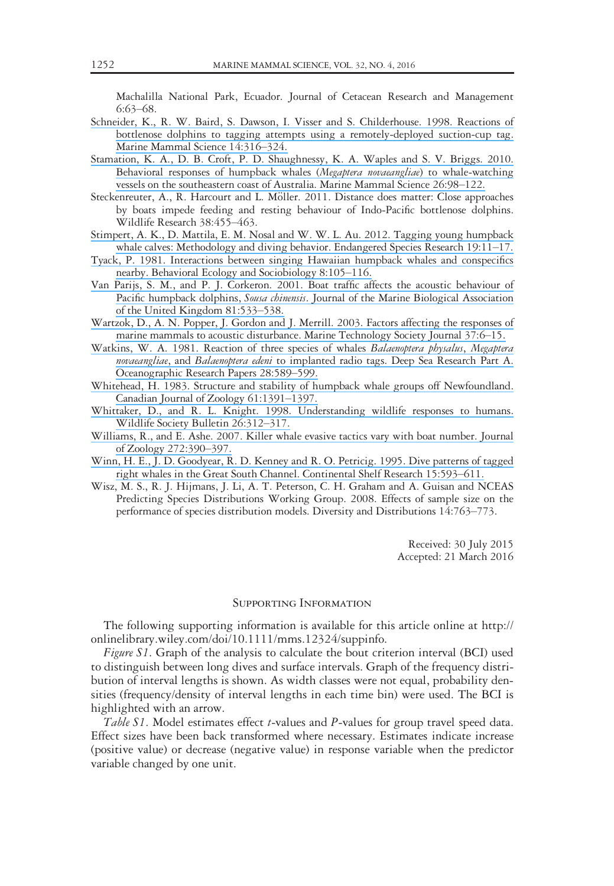Machalilla National Park, Ecuador. Journal of Cetacean Research and Management 6:63–68.

- [Schneider, K., R. W. Baird, S. Dawson, I. Visser and S. Childerhouse. 1998. Reactions of](https://www.researchgate.net/publication/230788998_Reactions_of_bottlenose_dolphins_to_tagging_attempts_using_a_remotely-deployed_suction-cup_tag?el=1_x_8&enrichId=rgreq-fd721b0735a7ab74e3b155e2d94872d5-XXX&enrichSource=Y292ZXJQYWdlOzMwMTY2ODI5MztBUzo0MTk2NDEwODA5OTE3NDVAMTQ3NzA2MTYzODcyMQ==) [bottlenose dolphins to tagging attempts using a remotely-deployed suction-cup tag.](https://www.researchgate.net/publication/230788998_Reactions_of_bottlenose_dolphins_to_tagging_attempts_using_a_remotely-deployed_suction-cup_tag?el=1_x_8&enrichId=rgreq-fd721b0735a7ab74e3b155e2d94872d5-XXX&enrichSource=Y292ZXJQYWdlOzMwMTY2ODI5MztBUzo0MTk2NDEwODA5OTE3NDVAMTQ3NzA2MTYzODcyMQ==) [Marine Mammal Science 14:316](https://www.researchgate.net/publication/230788998_Reactions_of_bottlenose_dolphins_to_tagging_attempts_using_a_remotely-deployed_suction-cup_tag?el=1_x_8&enrichId=rgreq-fd721b0735a7ab74e3b155e2d94872d5-XXX&enrichSource=Y292ZXJQYWdlOzMwMTY2ODI5MztBUzo0MTk2NDEwODA5OTE3NDVAMTQ3NzA2MTYzODcyMQ==)–324.
- [Stamation, K. A., D. B. Croft, P. D. Shaughnessy, K. A. Waples and S. V. Briggs. 2010.](https://www.researchgate.net/publication/230130414_Behavioral_responses_of_humpback_whales_Megaptera_novaeangliae_to_whale-watching_vessels_on_the_southeastern_coast_of_Australia?el=1_x_8&enrichId=rgreq-fd721b0735a7ab74e3b155e2d94872d5-XXX&enrichSource=Y292ZXJQYWdlOzMwMTY2ODI5MztBUzo0MTk2NDEwODA5OTE3NDVAMTQ3NzA2MTYzODcyMQ==) [Behavioral responses of humpback whales \(](https://www.researchgate.net/publication/230130414_Behavioral_responses_of_humpback_whales_Megaptera_novaeangliae_to_whale-watching_vessels_on_the_southeastern_coast_of_Australia?el=1_x_8&enrichId=rgreq-fd721b0735a7ab74e3b155e2d94872d5-XXX&enrichSource=Y292ZXJQYWdlOzMwMTY2ODI5MztBUzo0MTk2NDEwODA5OTE3NDVAMTQ3NzA2MTYzODcyMQ==)Megaptera novaeangliae) to whale-watching [vessels on the southeastern coast of Australia. Marine Mammal Science 26:98](https://www.researchgate.net/publication/230130414_Behavioral_responses_of_humpback_whales_Megaptera_novaeangliae_to_whale-watching_vessels_on_the_southeastern_coast_of_Australia?el=1_x_8&enrichId=rgreq-fd721b0735a7ab74e3b155e2d94872d5-XXX&enrichSource=Y292ZXJQYWdlOzMwMTY2ODI5MztBUzo0MTk2NDEwODA5OTE3NDVAMTQ3NzA2MTYzODcyMQ==)–122.
- Steckenreuter, A., R. Harcourt and L. Möller. 2011. Distance does matter: Close approaches by boats impede feeding and resting behaviour of Indo-Pacific bottlenose dolphins. Wildlife Research 38:455–463.
- [Stimpert, A. K., D. Mattila, E. M. Nosal and W. W. L. Au. 2012. Tagging young humpback](https://www.researchgate.net/publication/277439029_Tagging_young_humpback_whale_calves_Methodology_and_diving_behavior?el=1_x_8&enrichId=rgreq-fd721b0735a7ab74e3b155e2d94872d5-XXX&enrichSource=Y292ZXJQYWdlOzMwMTY2ODI5MztBUzo0MTk2NDEwODA5OTE3NDVAMTQ3NzA2MTYzODcyMQ==) [whale calves: Methodology and diving behavior. Endangered Species Research 19:11](https://www.researchgate.net/publication/277439029_Tagging_young_humpback_whale_calves_Methodology_and_diving_behavior?el=1_x_8&enrichId=rgreq-fd721b0735a7ab74e3b155e2d94872d5-XXX&enrichSource=Y292ZXJQYWdlOzMwMTY2ODI5MztBUzo0MTk2NDEwODA5OTE3NDVAMTQ3NzA2MTYzODcyMQ==)–17.
- [Tyack, P. 1981. Interactions between singing Hawaiian humpback whales and conspecifics](https://www.researchgate.net/publication/227104189_Tyack_P_Interactions_between_singing_hawaian_humpback_whales_and_conspecifics_nearby_Behav_Ecol_sociobiol_82_105-116?el=1_x_8&enrichId=rgreq-fd721b0735a7ab74e3b155e2d94872d5-XXX&enrichSource=Y292ZXJQYWdlOzMwMTY2ODI5MztBUzo0MTk2NDEwODA5OTE3NDVAMTQ3NzA2MTYzODcyMQ==) [nearby. Behavioral Ecology and Sociobiology 8:105](https://www.researchgate.net/publication/227104189_Tyack_P_Interactions_between_singing_hawaian_humpback_whales_and_conspecifics_nearby_Behav_Ecol_sociobiol_82_105-116?el=1_x_8&enrichId=rgreq-fd721b0735a7ab74e3b155e2d94872d5-XXX&enrichSource=Y292ZXJQYWdlOzMwMTY2ODI5MztBUzo0MTk2NDEwODA5OTE3NDVAMTQ3NzA2MTYzODcyMQ==)–116.
- [Van Parijs, S. M., and P. J. Corkeron. 2001. Boat traffic affects the acoustic behaviour of](https://www.researchgate.net/publication/231834697_Boat_traffic_affects_the_acoustic_behaviour_of_Pacific_humpback_dolphins_Sousa_chinensis?el=1_x_8&enrichId=rgreq-fd721b0735a7ab74e3b155e2d94872d5-XXX&enrichSource=Y292ZXJQYWdlOzMwMTY2ODI5MztBUzo0MTk2NDEwODA5OTE3NDVAMTQ3NzA2MTYzODcyMQ==) Pacific humpback dolphins, Sousa chinensis[. Journal of the Marine Biological Association](https://www.researchgate.net/publication/231834697_Boat_traffic_affects_the_acoustic_behaviour_of_Pacific_humpback_dolphins_Sousa_chinensis?el=1_x_8&enrichId=rgreq-fd721b0735a7ab74e3b155e2d94872d5-XXX&enrichSource=Y292ZXJQYWdlOzMwMTY2ODI5MztBUzo0MTk2NDEwODA5OTE3NDVAMTQ3NzA2MTYzODcyMQ==) [of the United Kingdom 81:533](https://www.researchgate.net/publication/231834697_Boat_traffic_affects_the_acoustic_behaviour_of_Pacific_humpback_dolphins_Sousa_chinensis?el=1_x_8&enrichId=rgreq-fd721b0735a7ab74e3b155e2d94872d5-XXX&enrichSource=Y292ZXJQYWdlOzMwMTY2ODI5MztBUzo0MTk2NDEwODA5OTE3NDVAMTQ3NzA2MTYzODcyMQ==)–538.
- [Wartzok, D., A. N. Popper, J. Gordon and J. Merrill. 2003. Factors affecting the responses of](https://www.researchgate.net/publication/233638567_Factors_Affecting_the_Responses_of_Marine_Mammals_to_Acoustic_Disturbance?el=1_x_8&enrichId=rgreq-fd721b0735a7ab74e3b155e2d94872d5-XXX&enrichSource=Y292ZXJQYWdlOzMwMTY2ODI5MztBUzo0MTk2NDEwODA5OTE3NDVAMTQ3NzA2MTYzODcyMQ==) [marine mammals to acoustic disturbance. Marine Technology Society Journal 37:6](https://www.researchgate.net/publication/233638567_Factors_Affecting_the_Responses_of_Marine_Mammals_to_Acoustic_Disturbance?el=1_x_8&enrichId=rgreq-fd721b0735a7ab74e3b155e2d94872d5-XXX&enrichSource=Y292ZXJQYWdlOzMwMTY2ODI5MztBUzo0MTk2NDEwODA5OTE3NDVAMTQ3NzA2MTYzODcyMQ==)–15.
- [Watkins, W. A. 1981. Reaction of three species of whales](https://www.researchgate.net/publication/229382704_Reaction_of_three_species_of_whales_Balaenoptera_physalus_Megaptera_novaeangliae_and_Balaenoptera_edeni_to_implanted_radio_tags?el=1_x_8&enrichId=rgreq-fd721b0735a7ab74e3b155e2d94872d5-XXX&enrichSource=Y292ZXJQYWdlOzMwMTY2ODI5MztBUzo0MTk2NDEwODA5OTE3NDVAMTQ3NzA2MTYzODcyMQ==) Balaenoptera physalus, Megaptera novaeangliae, and Balaenoptera edeni [to implanted radio tags. Deep Sea Research Part A.](https://www.researchgate.net/publication/229382704_Reaction_of_three_species_of_whales_Balaenoptera_physalus_Megaptera_novaeangliae_and_Balaenoptera_edeni_to_implanted_radio_tags?el=1_x_8&enrichId=rgreq-fd721b0735a7ab74e3b155e2d94872d5-XXX&enrichSource=Y292ZXJQYWdlOzMwMTY2ODI5MztBUzo0MTk2NDEwODA5OTE3NDVAMTQ3NzA2MTYzODcyMQ==) [Oceanographic Research Papers 28:589](https://www.researchgate.net/publication/229382704_Reaction_of_three_species_of_whales_Balaenoptera_physalus_Megaptera_novaeangliae_and_Balaenoptera_edeni_to_implanted_radio_tags?el=1_x_8&enrichId=rgreq-fd721b0735a7ab74e3b155e2d94872d5-XXX&enrichSource=Y292ZXJQYWdlOzMwMTY2ODI5MztBUzo0MTk2NDEwODA5OTE3NDVAMTQ3NzA2MTYzODcyMQ==)–599.
- [Whitehead, H. 1983. Structure and stability of humpback whale groups off Newfoundland.](https://www.researchgate.net/publication/237995588_Structure_and_stability_of_humpback_whale_groups_off_Newfoundland_Megaptera_novaeangliae?el=1_x_8&enrichId=rgreq-fd721b0735a7ab74e3b155e2d94872d5-XXX&enrichSource=Y292ZXJQYWdlOzMwMTY2ODI5MztBUzo0MTk2NDEwODA5OTE3NDVAMTQ3NzA2MTYzODcyMQ==) [Canadian Journal of Zoology 61:1391](https://www.researchgate.net/publication/237995588_Structure_and_stability_of_humpback_whale_groups_off_Newfoundland_Megaptera_novaeangliae?el=1_x_8&enrichId=rgreq-fd721b0735a7ab74e3b155e2d94872d5-XXX&enrichSource=Y292ZXJQYWdlOzMwMTY2ODI5MztBUzo0MTk2NDEwODA5OTE3NDVAMTQ3NzA2MTYzODcyMQ==)–1397.
- [Whittaker, D., and R. L. Knight. 1998. Understanding wildlife responses to humans.](https://www.researchgate.net/publication/285538544_Understanding_wildlife_responses_to_humans?el=1_x_8&enrichId=rgreq-fd721b0735a7ab74e3b155e2d94872d5-XXX&enrichSource=Y292ZXJQYWdlOzMwMTY2ODI5MztBUzo0MTk2NDEwODA5OTE3NDVAMTQ3NzA2MTYzODcyMQ==) [Wildlife Society Bulletin 26:312](https://www.researchgate.net/publication/285538544_Understanding_wildlife_responses_to_humans?el=1_x_8&enrichId=rgreq-fd721b0735a7ab74e3b155e2d94872d5-XXX&enrichSource=Y292ZXJQYWdlOzMwMTY2ODI5MztBUzo0MTk2NDEwODA5OTE3NDVAMTQ3NzA2MTYzODcyMQ==)–317.
- [Williams, R., and E. Ashe. 2007. Killer whale evasive tactics vary with boat number. Journal](https://www.researchgate.net/publication/227601346_Killer_whale_evasive_tactics_vary_with_boat_number?el=1_x_8&enrichId=rgreq-fd721b0735a7ab74e3b155e2d94872d5-XXX&enrichSource=Y292ZXJQYWdlOzMwMTY2ODI5MztBUzo0MTk2NDEwODA5OTE3NDVAMTQ3NzA2MTYzODcyMQ==) [of Zoology 272:390](https://www.researchgate.net/publication/227601346_Killer_whale_evasive_tactics_vary_with_boat_number?el=1_x_8&enrichId=rgreq-fd721b0735a7ab74e3b155e2d94872d5-XXX&enrichSource=Y292ZXJQYWdlOzMwMTY2ODI5MztBUzo0MTk2NDEwODA5OTE3NDVAMTQ3NzA2MTYzODcyMQ==)–397.
- [Winn, H. E., J. D. Goodyear, R. D. Kenney and R. O. Petricig. 1995. Dive patterns of tagged](https://www.researchgate.net/publication/222164005_Dive_patterns_of_right_whales_in_the_Great_South_Channel?el=1_x_8&enrichId=rgreq-fd721b0735a7ab74e3b155e2d94872d5-XXX&enrichSource=Y292ZXJQYWdlOzMwMTY2ODI5MztBUzo0MTk2NDEwODA5OTE3NDVAMTQ3NzA2MTYzODcyMQ==) [right whales in the Great South Channel. Continental Shelf Research 15:593](https://www.researchgate.net/publication/222164005_Dive_patterns_of_right_whales_in_the_Great_South_Channel?el=1_x_8&enrichId=rgreq-fd721b0735a7ab74e3b155e2d94872d5-XXX&enrichSource=Y292ZXJQYWdlOzMwMTY2ODI5MztBUzo0MTk2NDEwODA5OTE3NDVAMTQ3NzA2MTYzODcyMQ==)–611.
- Wisz, M. S., R. J. Hijmans, J. Li, A. T. Peterson, C. H. Graham and A. Guisan and NCEAS Predicting Species Distributions Working Group. 2008. Effects of sample size on the performance of species distribution models. Diversity and Distributions 14:763–773.

Received: 30 July 2015 Accepted: 21 March 2016

# Supporting Information

The following supporting information is available for this article online at http:// onlinelibrary.wiley.com/doi/10.1111/mms.12324/suppinfo.

Figure S1. Graph of the analysis to calculate the bout criterion interval (BCI) used to distinguish between long dives and surface intervals. Graph of the frequency distribution of interval lengths is shown. As width classes were not equal, probability densities (frequency/density of interval lengths in each time bin) were used. The BCI is highlighted with an arrow.

Table S1. Model estimates effect t-values and P-values for group travel speed data. Effect sizes have been back transformed where necessary. Estimates indicate increase (positive value) or decrease (negative value) in response variable when the predictor variable changed by one unit.